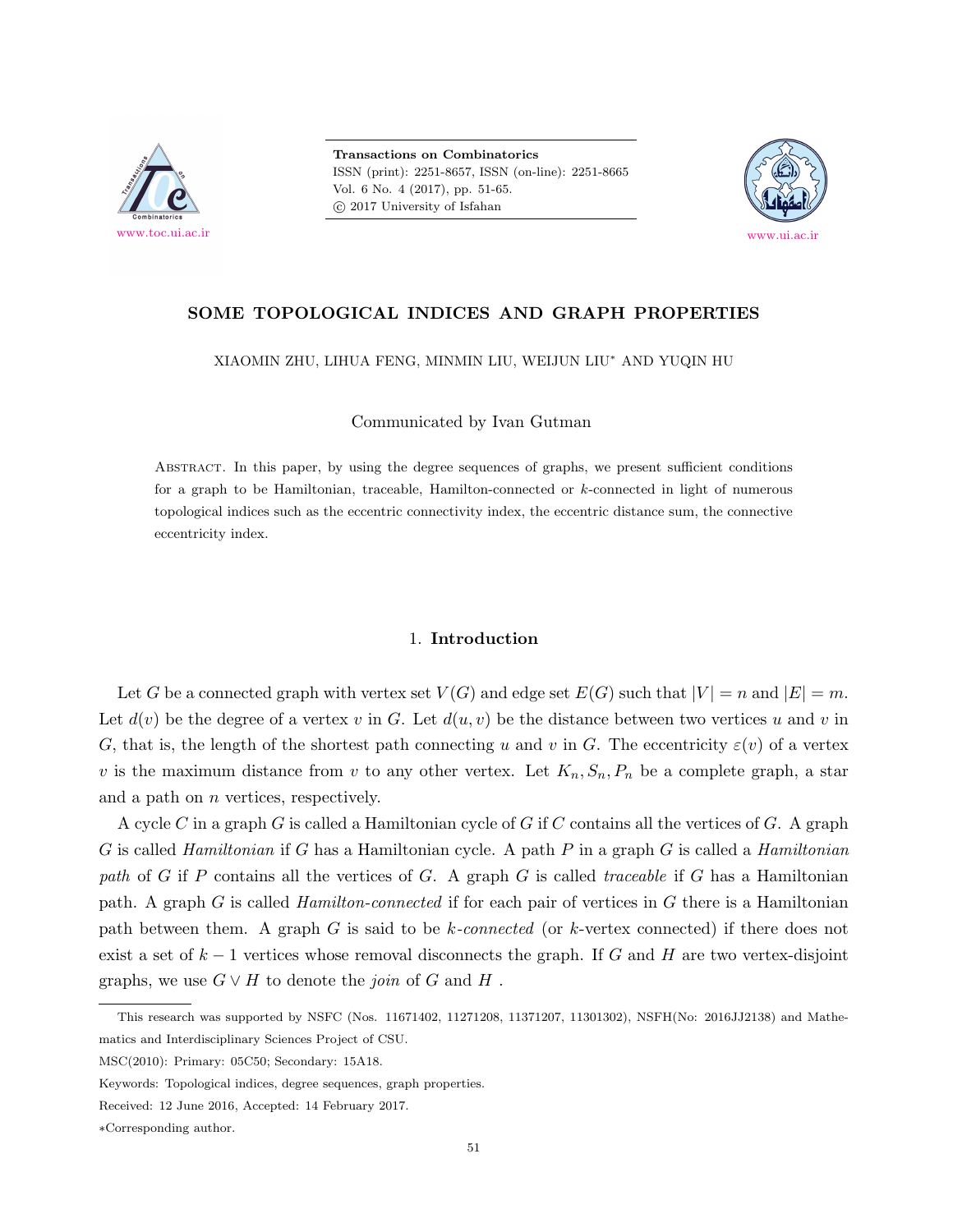

**Transactions on Combinatorics** ISSN (print): 2251-8657, ISSN (on-line): 2251-8665 Vol. 6 No. 4 (2017), pp. 51-65.  $\odot$  2017 University of Isfahan



# **SOME TOPOLOGICAL INDICES AND GRAPH PROPERTIES**

XIAOMIN ZHU, LIHUA FENG, MINMIN LIU, WEIJUN LIU*<sup>∗</sup>* AND YUQIN HU

Communicated by Ivan Gutman

Abstract. In this paper, by using the degree sequences of graphs, we present sufficient conditions for a graph to be Hamiltonian, traceable, Hamilton-connected or *k*-connected in light of numerous topological indices such as the eccentric connectivity index, the eccentric distance sum, the connective eccentricity index.

## 1. **Introduction**

Let *G* be a connected graph with vertex set  $V(G)$  and edge set  $E(G)$  such that  $|V| = n$  and  $|E| = m$ . Let  $d(v)$  be the degree of a vertex v in *G*. Let  $d(u, v)$  be the distance between two vertices u and v in *G*, that is, the length of the shortest path connecting *u* and *v* in *G*. The eccentricity  $\varepsilon$ (*v*) of a vertex *v* is the maximum distance from *v* to any other vertex. Let  $K_n, S_n, P_n$  be a complete graph, a star and a path on *n* vertices, respectively.

A cycle *C* in a graph *G* is called a Hamiltonian cycle of *G* if *C* contains all the vertices of *G*. A graph *G* is called *Hamiltonian* if *G* has a Hamiltonian cycle. A path *P* in a graph *G* is called a *Hamiltonian path* of *G* if *P* contains all the vertices of *G*. A graph *G* is called *traceable* if *G* has a Hamiltonian path. A graph *G* is called *Hamilton-connected* if for each pair of vertices in *G* there is a Hamiltonian path between them. A graph *G* is said to be *k-connected* (or *k*-vertex connected) if there does not exist a set of *k −* 1 vertices whose removal disconnects the graph. If *G* and *H* are two vertex-disjoint graphs, we use  $G \vee H$  to denote the *join* of  $G$  and  $H$ .

This research was supported by NSFC (Nos. 11671402, 11271208, 11371207, 11301302), NSFH(No: 2016JJ2138) and Mathematics and Interdisciplinary Sciences Project of CSU.

MSC(2010): Primary: 05C50; Secondary: 15A18.

Keywords: Topological indices, degree sequences, graph properties.

Received: 12 June 2016, Accepted: 14 February 2017.

*<sup>∗</sup>*Corresponding author.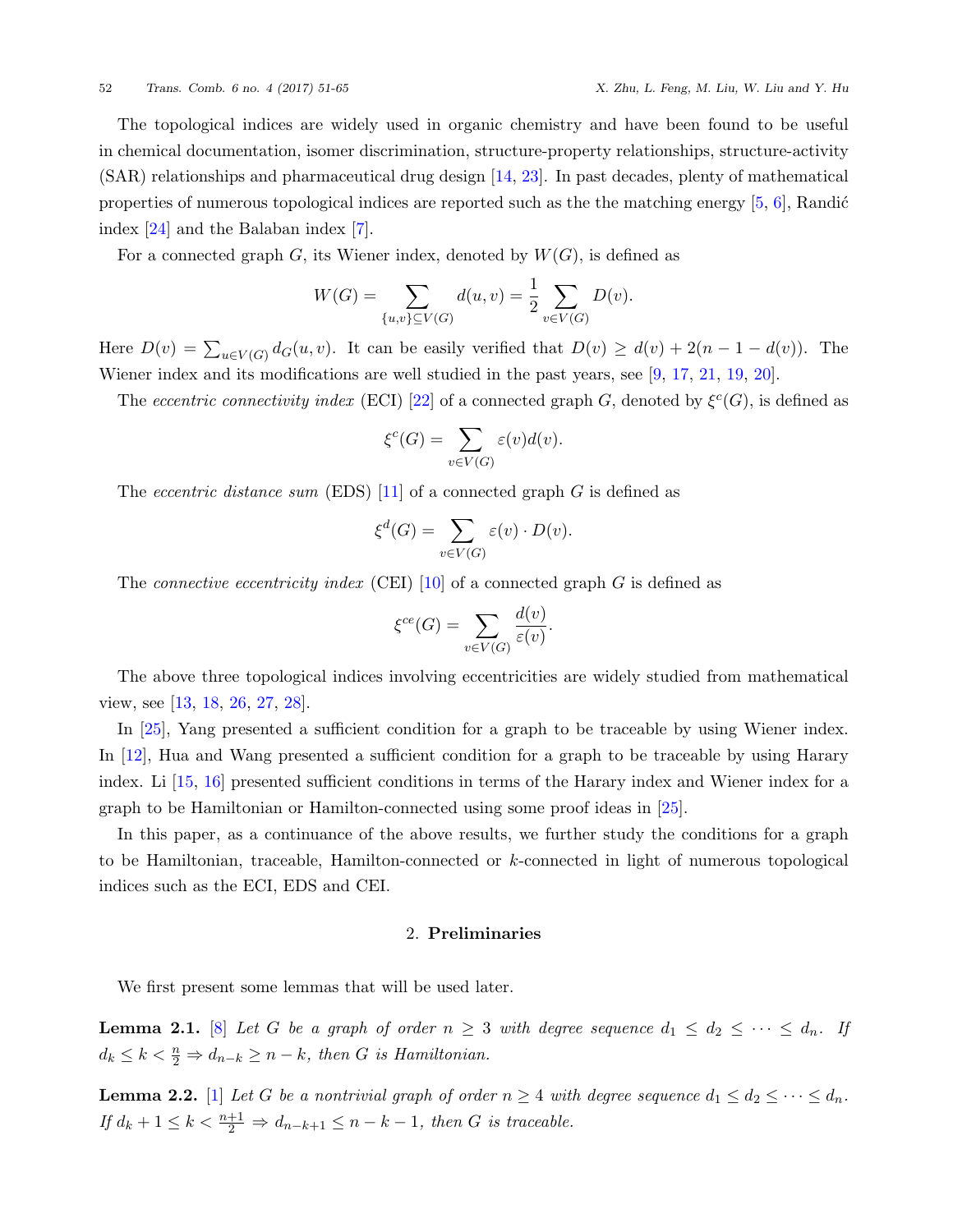The topological indices are widely used in organic chemistry and have been found to be useful in chemical documentation, isomer discrimination, structure-property relationships, structure-activity (SAR) relationships and pharmaceutical drug design [\[14](#page-13-0), [23](#page-14-0)]. In past decades, plenty of mathematical properties of numerous topological indices are reported such as the the matching energy  $\left[5, 6\right]$  $\left[5, 6\right]$  $\left[5, 6\right]$ , Randić index [[24\]](#page-14-1) and the Balaban index [[7](#page-13-3)].

For a connected graph  $G$ , its Wiener index, denoted by  $W(G)$ , is defined as

$$
W(G) = \sum_{\{u,v\} \subseteq V(G)} d(u,v) = \frac{1}{2} \sum_{v \in V(G)} D(v).
$$

Here  $D(v) = \sum_{u \in V(G)} d_G(u, v)$ . It can be easily verified that  $D(v) \geq d(v) + 2(n - 1 - d(v))$ . The Wiener index and its modifications are well studied in the past years, see [[9](#page-13-4), [17,](#page-14-2) [21](#page-14-3), [19,](#page-14-4) [20](#page-14-5)].

The *eccentric connectivity index* (ECI) [\[22](#page-14-6)] of a connected graph *G*, denoted by  $\xi^c(G)$ , is defined as

$$
\xi^{c}(G) = \sum_{v \in V(G)} \varepsilon(v)d(v).
$$

The *eccentric distance sum* (EDS) [[11\]](#page-13-5) of a connected graph *G* is defined as

$$
\xi^d(G) = \sum_{v \in V(G)} \varepsilon(v) \cdot D(v).
$$

The *connective eccentricity index* (CEI) [\[10](#page-13-6)] of a connected graph *G* is defined as

$$
\xi^{ce}(G) = \sum_{v \in V(G)} \frac{d(v)}{\varepsilon(v)}.
$$

The above three topological indices involving eccentricities are widely studied from mathematical view, see [\[13](#page-13-7), [18,](#page-14-7) [26](#page-14-8), [27,](#page-14-9) [28\]](#page-14-10).

In  $|25|$ , Yang presented a sufficient condition for a graph to be traceable by using Wiener index. In [[12\]](#page-13-8), Hua and Wang presented a sufficient condition for a graph to be traceable by using Harary index. Li [[15](#page-13-9), [16\]](#page-14-12) presented sufficient conditions in terms of the Harary index and Wiener index for a graph to be Hamiltonian or Hamilton-connected using some proof ideas in [[25](#page-14-11)].

In this paper, as a continuance of the above results, we further study the conditions for a graph to be Hamiltonian, traceable, Hamilton-connected or *k*-connected in light of numerous topological indices such as the ECI, EDS and CEI.

# 2. **Preliminaries**

We first present some lemmas that will be used later.

<span id="page-1-0"></span>**Lemma 2.1.** [[8](#page-13-10)] Let G be a graph of order  $n \geq 3$  with degree sequence  $d_1 \leq d_2 \leq \cdots \leq d_n$ . If  $d_k \leq k < \frac{n}{2} \Rightarrow d_{n-k} \geq n - k$ , then *G* is Hamiltonian.

<span id="page-1-1"></span>**Lemma 2.2.** [\[1\]](#page-13-11) Let G be a nontrivial graph of order  $n \geq 4$  with degree sequence  $d_1 \leq d_2 \leq \cdots \leq d_n$ .  $If d_k + 1 \leq k < \frac{n+1}{2} \Rightarrow d_{n-k+1} \leq n-k-1$ , then *G* is traceable.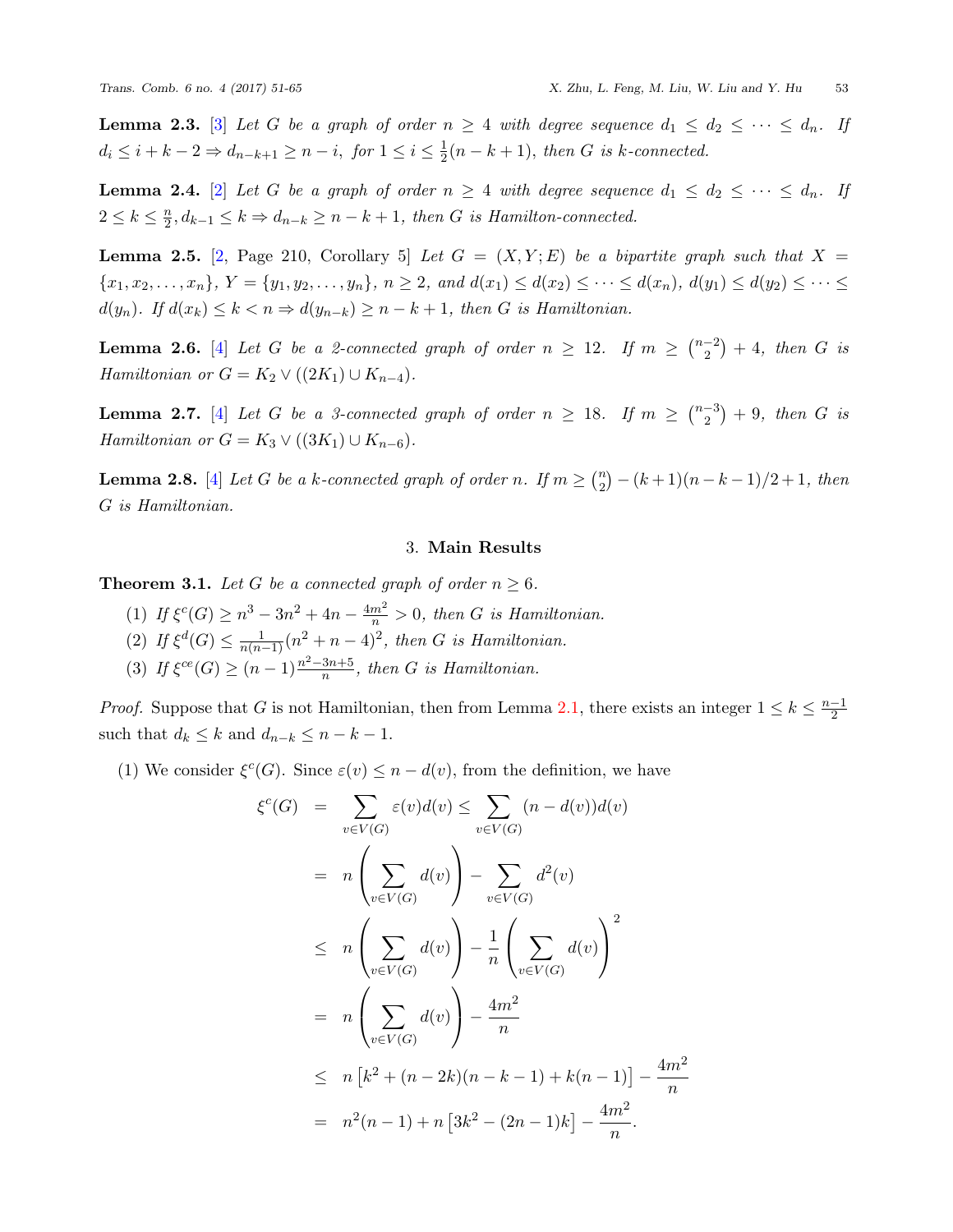<span id="page-2-1"></span>**Lemma 2.[3](#page-13-12).** [3] Let G be a graph of order  $n \geq 4$  with degree sequence  $d_1 \leq d_2 \leq \cdots \leq d_n$ . If  $d_i \leq i + k - 2 \Rightarrow d_{n-k+1} \geq n - i, \text{ for } 1 \leq i \leq \frac{1}{2}$  $\frac{1}{2}(n-k+1)$ *, then G is k*-connected.

<span id="page-2-2"></span>**Lemma [2](#page-13-13).4.** [2] Let G be a graph of order  $n \geq 4$  with degree sequence  $d_1 \leq d_2 \leq \cdots \leq d_n$ . If  $2 \leq k \leq \frac{n}{2}$  $\frac{n}{2}, d_{k-1} \leq k \Rightarrow d_{n-k} \geq n-k+1$ , then *G* is Hamilton-connected.

<span id="page-2-3"></span>**Lemma 2.5.** [\[2,](#page-13-13) Page 210, Corollary 5] *Let*  $G = (X, Y; E)$  *be a bipartite graph such that*  $X =$  $\{x_1, x_2, \ldots, x_n\}, Y = \{y_1, y_2, \ldots, y_n\}, n \ge 2, and d(x_1) \le d(x_2) \le \cdots \le d(x_n), d(y_1) \le d(y_2) \le \cdots \le d(x_n)$ *d*(*y*<sub>*n*</sub>)*. If d*(*x*<sub>*k*</sub>) ≤ *k* < *n*  $\Rightarrow$  *d*(*y*<sub>*n*−*k*</sub>) ≥ *n* − *k* + 1*, then G is Hamiltonian.* 

<span id="page-2-4"></span>**Lemma 2.6.** [\[4\]](#page-13-14) *Let G be a 2-connected graph of order*  $n \geq 12$ *. If*  $m \geq \binom{n-2}{2}$  $\binom{-2}{2} + 4$ , then *G* is *Hamiltonian or*  $G = K_2 \vee ((2K_1) \cup K_{n-4})$ *.* 

<span id="page-2-5"></span>**Lemma 2.7.** [\[4\]](#page-13-14) *Let G be a 3-connected graph of order*  $n \geq 18$ *. If*  $m \geq {n-3 \choose 2}$  $\binom{-3}{2} + 9$ , then *G* is *Hamiltonian or*  $G = K_3 \vee ((3K_1) \cup K_{n-6})$ *.* 

<span id="page-2-6"></span>**Lemma 2.8.** [[4](#page-13-14)] *Let G be a k-connected graph of order n. If*  $m \geq \binom{n}{2}$  $\binom{n}{2} - (k+1)(n-k-1)/2 + 1$ , then *G is Hamiltonian.*

## 3. **Main Results**

<span id="page-2-0"></span>**Theorem 3.1.** *Let*  $G$  *be a connected graph of order*  $n \geq 6$ *.* 

- (1) *If*  $\xi^{c}(G) \geq n^3 3n^2 + 4n \frac{4m^2}{n} > 0$ , then *G* is Hamiltonian.
- (2) *If*  $\xi^d(G) \le \frac{1}{n(n-1)}(n^2+n-4)^2$ , then *G* is Hamiltonian.
- (3) *If*  $\xi^{ce}(G) \ge (n-1)\frac{n^2-3n+5}{n}$ , then *G is Hamiltonian.*

*ξ c*

*Proof.* Suppose that *G* is not Hamiltonian, then from Lemma [2.1](#page-1-0), there exists an integer  $1 \leq k \leq \frac{n-1}{2}$ such that  $d_k \leq k$  and  $d_{n-k} \leq n-k-1$ .

(1) We consider  $\xi^c(G)$ . Since  $\varepsilon(v) \leq n - d(v)$ , from the definition, we have

$$
(G) = \sum_{v \in V(G)} \varepsilon(v)d(v) \le \sum_{v \in V(G)} (n - d(v))d(v)
$$
  
\n
$$
= n \left( \sum_{v \in V(G)} d(v) \right) - \sum_{v \in V(G)} d^2(v)
$$
  
\n
$$
\le n \left( \sum_{v \in V(G)} d(v) \right) - \frac{1}{n} \left( \sum_{v \in V(G)} d(v) \right)^2
$$
  
\n
$$
= n \left( \sum_{v \in V(G)} d(v) \right) - \frac{4m^2}{n}
$$
  
\n
$$
\le n [k^2 + (n - 2k)(n - k - 1) + k(n - 1)] - \frac{4m^2}{n}
$$
  
\n
$$
= n^2(n - 1) + n [3k^2 - (2n - 1)k] - \frac{4m^2}{n}.
$$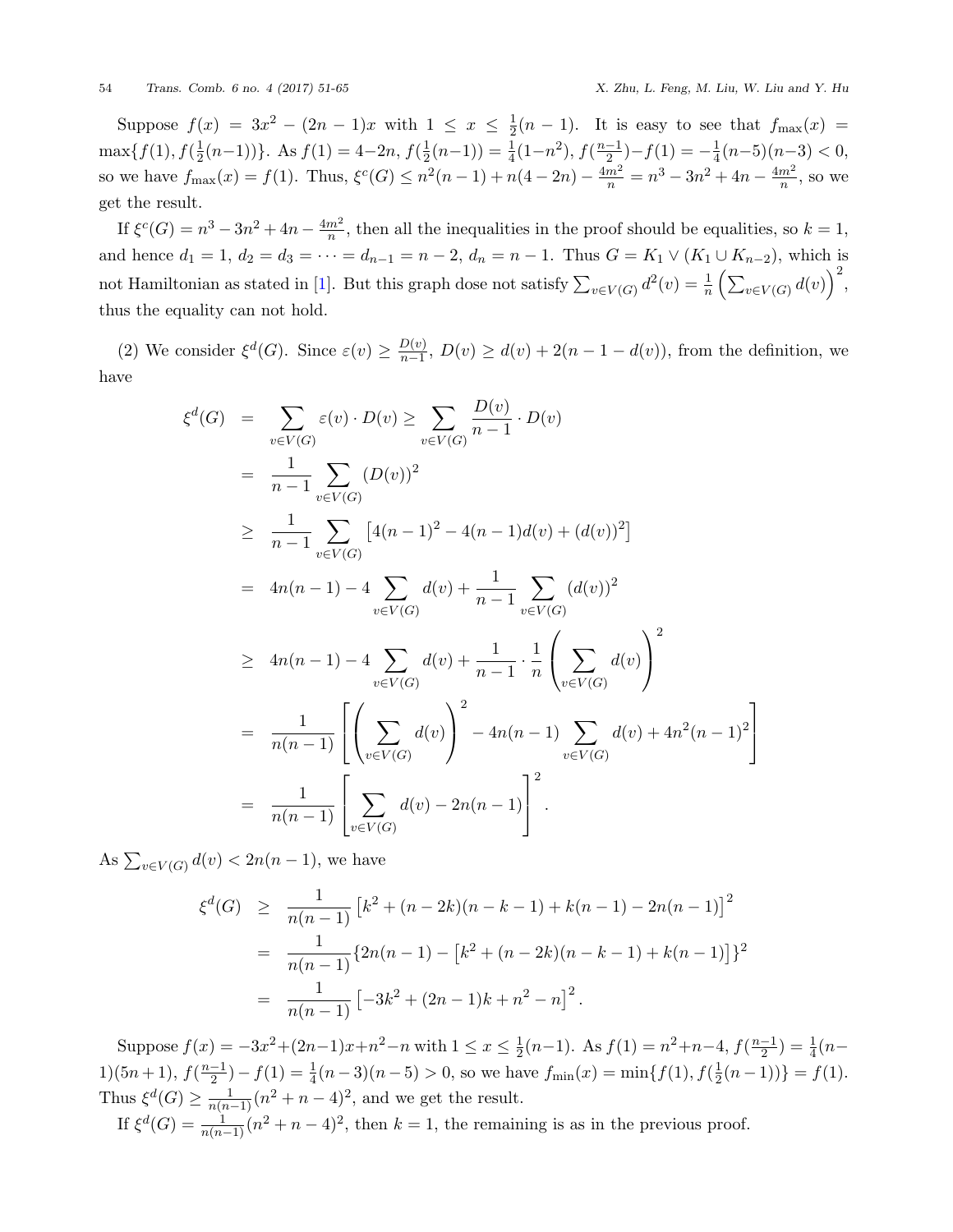Suppose  $f(x) = 3x^2 - (2n - 1)x$  with  $1 \leq x \leq \frac{1}{2}$  $\frac{1}{2}(n-1)$ . It is easy to see that  $f_{\text{max}}(x) =$  $\max\{f(1), f(\frac{1}{2})\}$  $\frac{1}{2}(n-1)$ )}. As  $f(1) = 4-2n$ ,  $f(\frac{1}{2})$  $\frac{1}{2}(n-1)$ ) =  $\frac{1}{4}(1-n^2)$ ,  $f(\frac{n-1}{2})-f(1) = -\frac{1}{4}$  $\frac{1}{4}(n-5)(n-3) < 0,$ so we have  $f_{\max}(x) = f(1)$ . Thus,  $\xi^{c}(G) \leq n^{2}(n-1) + n(4-2n) - \frac{4m^{2}}{n} = n^{3} - 3n^{2} + 4n - \frac{4m^{2}}{n}$  $\frac{m^2}{n}$ , so we get the result.

If  $\xi^{c}(G) = n^3 - 3n^2 + 4n - \frac{4m^2}{n}$  $\frac{m^2}{n}$ , then all the inequalities in the proof should be equalities, so  $k = 1$ , and hence  $d_1 = 1$ ,  $d_2 = d_3 = \cdots = d_{n-1} = n-2$ ,  $d_n = n-1$ . Thus  $G = K_1 \vee (K_1 \cup K_{n-2})$ , which is not Hamiltonian as stated in [\[1\]](#page-13-11). But this graph dose not satisfy  $\sum_{v \in V(G)} d^2(v) = \frac{1}{n} \left( \sum_{v \in V(G)} d(v) \right)^2$ , thus the equality can not hold.

(2) We consider  $\xi^d(G)$ . Since  $\varepsilon(v) \geq \frac{D(v)}{n-1}$  $\frac{D(v)}{n-1}$ ,  $D(v) \geq d(v) + 2(n-1-d(v))$ , from the definition, we have

$$
\xi^{d}(G) = \sum_{v \in V(G)} \varepsilon(v) \cdot D(v) \ge \sum_{v \in V(G)} \frac{D(v)}{n-1} \cdot D(v)
$$
  
\n
$$
= \frac{1}{n-1} \sum_{v \in V(G)} (D(v))^2
$$
  
\n
$$
\ge \frac{1}{n-1} \sum_{v \in V(G)} [4(n-1)^2 - 4(n-1)d(v) + (d(v))^2]
$$
  
\n
$$
= 4n(n-1) - 4 \sum_{v \in V(G)} d(v) + \frac{1}{n-1} \sum_{v \in V(G)} (d(v))^2
$$
  
\n
$$
\ge 4n(n-1) - 4 \sum_{v \in V(G)} d(v) + \frac{1}{n-1} \cdot \frac{1}{n} \left( \sum_{v \in V(G)} d(v) \right)^2
$$
  
\n
$$
= \frac{1}{n(n-1)} \left[ \left( \sum_{v \in V(G)} d(v) \right)^2 - 4n(n-1) \sum_{v \in V(G)} d(v) + 4n^2(n-1)^2 \right]
$$
  
\n
$$
= \frac{1}{n(n-1)} \left[ \sum_{v \in V(G)} d(v) - 2n(n-1) \right]^2.
$$

As  $\sum_{v \in V(G)} d(v) < 2n(n-1)$ , we have

$$
\xi^{d}(G) \geq \frac{1}{n(n-1)} \left[ k^{2} + (n-2k)(n-k-1) + k(n-1) - 2n(n-1) \right]^{2}
$$
  
= 
$$
\frac{1}{n(n-1)} \{ 2n(n-1) - \left[ k^{2} + (n-2k)(n-k-1) + k(n-1) \right] \}^{2}
$$
  
= 
$$
\frac{1}{n(n-1)} \left[ -3k^{2} + (2n-1)k + n^{2} - n \right]^{2}.
$$

Suppose  $f(x) = -3x^2 + (2n-1)x + n^2 - n$  with  $1 \le x \le \frac{1}{2}$  $\frac{1}{2}(n-1)$ . As  $f(1) = n^2 + n - 4$ ,  $f(\frac{n-1}{2}) = \frac{1}{4}(n-1)$ 1)(5*n* + 1),  $f(\frac{n-1}{2}) - f(1) = \frac{1}{4}(n-3)(n-5) > 0$ , so we have  $f_{\min}(x) = \min\{f(1), f(\frac{1}{2})\}$  $\frac{1}{2}(n-1)$ )} =  $f(1)$ . Thus  $\xi^d(G) \ge \frac{1}{n(n-1)} (n^2 + n - 4)^2$ , and we get the result.

If  $\xi^d(G) = \frac{1}{n(n-1)}(n^2 + n - 4)^2$ , then  $k = 1$ , the remaining is as in the previous proof.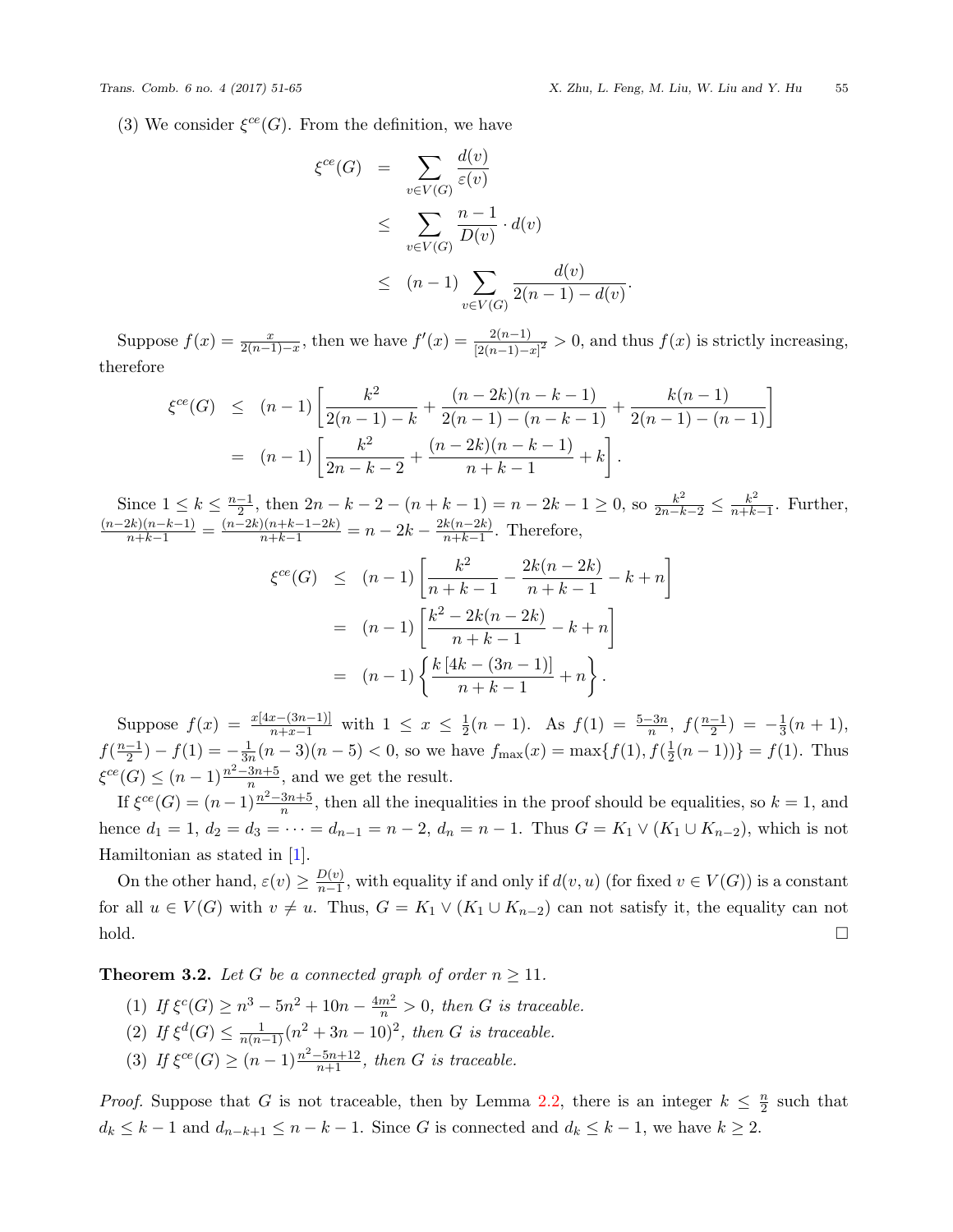(3) We consider  $\xi^{ce}(G)$ . From the definition, we have

$$
\xi^{ce}(G) = \sum_{v \in V(G)} \frac{d(v)}{\varepsilon(v)}
$$
  
\n
$$
\leq \sum_{v \in V(G)} \frac{n-1}{D(v)} \cdot d(v)
$$
  
\n
$$
\leq (n-1) \sum_{v \in V(G)} \frac{d(v)}{2(n-1) - d(v)}.
$$

Suppose  $f(x) = \frac{x}{2(n-1)-x}$ , then we have  $f'(x) = \frac{2(n-1)}{2(n-1)-x^2} > 0$ , and thus  $f(x)$  is strictly increasing, therefore

$$
\xi^{ce}(G) \le (n-1) \left[ \frac{k^2}{2(n-1) - k} + \frac{(n-2k)(n-k-1)}{2(n-1) - (n-k-1)} + \frac{k(n-1)}{2(n-1) - (n-1)} \right]
$$
  
=  $(n-1) \left[ \frac{k^2}{2n - k - 2} + \frac{(n-2k)(n-k-1)}{n+k-1} + k \right].$ 

Since  $1 \le k \le \frac{n-1}{2}$ , then  $2n - k - 2 - (n + k - 1) = n - 2k - 1 \ge 0$ , so  $\frac{k^2}{2n - k - 2} \le \frac{k^2}{n + k}$  $\frac{k^2}{n+k-1}$ . Further,  $\frac{(n-2k)(n-k-1)}{n+k-1} = \frac{(n-2k)(n+k-1-2k)}{n+k-1} = n-2k - \frac{2k(n-2k)}{n+k-1}$  $\frac{\kappa(n-2\kappa)}{n+k-1}$ . Therefore,

$$
\xi^{ce}(G) \le (n-1) \left[ \frac{k^2}{n+k-1} - \frac{2k(n-2k)}{n+k-1} - k + n \right]
$$
  
=  $(n-1) \left[ \frac{k^2 - 2k(n-2k)}{n+k-1} - k + n \right]$   
=  $(n-1) \left\{ \frac{k[4k - (3n-1)]}{n+k-1} + n \right\}.$ 

Suppose  $f(x) = \frac{x[4x-(3n-1)]}{n+x-1}$  with  $1 \leq x \leq \frac{1}{2}$  $\frac{1}{2}(n-1)$ . As  $f(1) = \frac{5-3n}{n}$ ,  $f(\frac{n-1}{2}) = -\frac{1}{3}$  $rac{1}{3}(n+1),$  $f(\frac{n-1}{2}) - f(1) = -\frac{1}{3n}$  $\frac{1}{3n}(n-3)(n-5) < 0$ , so we have  $f_{\text{max}}(x) = \max\{f(1), f(\frac{1}{2})\}$  $\frac{1}{2}(n-1)$ )} =  $f(1)$ . Thus  $\xi^{ce}(G) \le (n-1)\frac{n^2-3n+5}{n}$ , and we get the result.

If  $\xi^{ce}(G) = (n-1)\frac{n^2-3n+5}{n}$ , then all the inequalities in the proof should be equalities, so  $k = 1$ , and hence  $d_1 = 1, d_2 = d_3 = \cdots = d_{n-1} = n-2, d_n = n-1$ . Thus  $G = K_1 \vee (K_1 \cup K_{n-2})$ , which is not Hamiltonian as stated in [\[1\]](#page-13-11).

On the other hand,  $\varepsilon(v) \geq \frac{D(v)}{n-1}$  $\frac{D(v)}{n-1}$ , with equality if and only if  $d(v, u)$  (for fixed  $v \in V(G)$ ) is a constant for all  $u \in V(G)$  with  $v \neq u$ . Thus,  $G = K_1 \vee (K_1 \cup K_{n-2})$  can not satisfy it, the equality can not  $\Box$ 

**Theorem 3.2.** Let G be a connected graph of order  $n \geq 11$ .

- (1) *If*  $\xi^{c}(G) \geq n^3 5n^2 + 10n \frac{4m^2}{n} > 0$ , then *G* is traceable.
- (2) *If*  $\xi^d(G) \le \frac{1}{n(n-1)} (n^2 + 3n 10)^2$ , then *G* is traceable.
- (3) *If*  $\xi^{ce}(G) \ge (n-1)\frac{n^2 5n + 12}{n+1}$ , then *G* is traceable.

*Proof.* Suppose that *G* is not traceable, then by Lemma [2.2,](#page-1-1) there is an integer  $k \leq \frac{n}{2}$  $\frac{n}{2}$  such that  $d_k \leq k-1$  and  $d_{n-k+1} \leq n-k-1$ . Since G is connected and  $d_k \leq k-1$ , we have  $k \geq 2$ .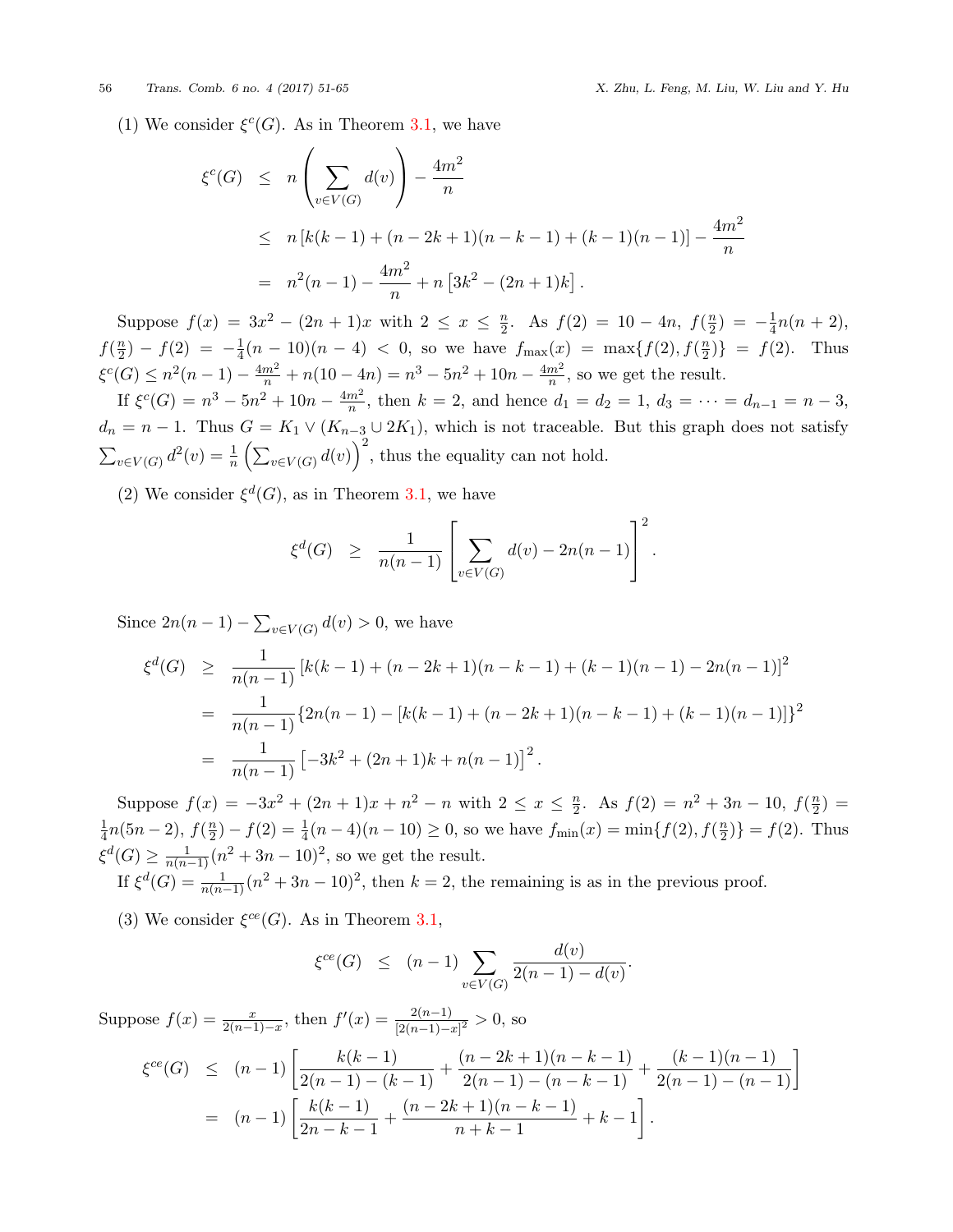(1) We consider  $\xi^c(G)$ . As in Theorem [3.1,](#page-2-0) we have

$$
\xi^{c}(G) \leq n \left( \sum_{v \in V(G)} d(v) \right) - \frac{4m^{2}}{n}
$$
  
\n
$$
\leq n \left[ k(k-1) + (n-2k+1)(n-k-1) + (k-1)(n-1) \right] - \frac{4m^{2}}{n}
$$
  
\n
$$
= n^{2}(n-1) - \frac{4m^{2}}{n} + n \left[ 3k^{2} - (2n+1)k \right].
$$

Suppose  $f(x) = 3x^2 - (2n+1)x$  with  $2 \leq x \leq \frac{n}{2}$  $\frac{n}{2}$ . As  $f(2) = 10 - 4n$ ,  $f(\frac{n}{2})$  $\frac{n}{2}$ ) =  $-\frac{1}{4}$  $\frac{1}{4}n(n+2),$  $f(\frac{n}{2})$  $\frac{n}{2}$ ) *−*  $f(2) = -\frac{1}{4}$  $\frac{1}{4}(n-10)(n-4)$  < 0, so we have  $f_{\text{max}}(x) = \max\{f(2), f(\frac{n}{2})\}$  $\left\{\frac{n}{2}\right\} = f(2)$ . Thus  $\xi^{c}(G) \leq n^2(n-1) - \frac{4m^2}{n} + n(10-4n) = n^3 - 5n^2 + 10n - \frac{4m^2}{n}$  $\frac{m^2}{n}$ , so we get the result.

If  $\xi^c(G) = n^3 - 5n^2 + 10n - \frac{4m^2}{n}$  $\frac{m^2}{n}$ , then  $k = 2$ , and hence  $d_1 = d_2 = 1$ ,  $d_3 = \cdots = d_{n-1} = n-3$ ,  $d_n = n - 1$ . Thus  $G = K_1 \vee (K_{n-3} \cup 2K_1)$ , which is not traceable. But this graph does not satisfy  $\sum_{v \in V(G)} d^2(v) = \frac{1}{n} \left( \sum_{v \in V(G)} d(v) \right)^2$ , thus the equality can not hold.

(2) We consider  $\xi^d(G)$ , as in Theorem [3.1](#page-2-0), we have

$$
\xi^d(G) \ge \frac{1}{n(n-1)} \left[ \sum_{v \in V(G)} d(v) - 2n(n-1) \right]^2.
$$

Since  $2n(n-1) - \sum_{v \in V(G)} d(v) > 0$ , we have

$$
\xi^{d}(G) \geq \frac{1}{n(n-1)} \left[ k(k-1) + (n-2k+1)(n-k-1) + (k-1)(n-1) - 2n(n-1) \right]^2
$$
  
= 
$$
\frac{1}{n(n-1)} \{ 2n(n-1) - \left[ k(k-1) + (n-2k+1)(n-k-1) + (k-1)(n-1) \right] \}^2
$$
  
= 
$$
\frac{1}{n(n-1)} \left[ -3k^2 + (2n+1)k + n(n-1) \right]^2.
$$

Suppose  $f(x) = -3x^2 + (2n+1)x + n^2 - n$  with  $2 \le x \le \frac{n}{2}$  $\frac{n}{2}$ . As  $f(2) = n^2 + 3n - 10$ ,  $f(\frac{n}{2})$  $\frac{n}{2}) =$ 1  $\frac{1}{4}n(5n-2), f(\frac{n}{2})$  $\frac{n}{2}$ ) *−*  $f(2) = \frac{1}{4}(n-4)(n-10) \ge 0$ , so we have  $f_{\min}(x) = \min\{f(2), f(\frac{n}{2})\}$  $\binom{n}{2}$ } =  $f(2)$ . Thus  $\xi^d(G) \ge \frac{1}{n(n-1)} (n^2 + 3n - 10)^2$ , so we get the result.

If  $\xi^d(G) = \frac{1}{n(n-1)}(n^2 + 3n - 10)^2$ , then  $k = 2$ , the remaining is as in the previous proof.

(3) We consider  $\xi^{ce}(G)$ . As in Theorem [3.1,](#page-2-0)

$$
\xi^{ce}(G) \le (n-1) \sum_{v \in V(G)} \frac{d(v)}{2(n-1) - d(v)}.
$$

Suppose  $f(x) = \frac{x}{2(n-1)-x}$ , then  $f'(x) = \frac{2(n-1)}{[2(n-1)-x]^2} > 0$ , so

$$
\xi^{ce}(G) \le (n-1) \left[ \frac{k(k-1)}{2(n-1) - (k-1)} + \frac{(n-2k+1)(n-k-1)}{2(n-1) - (n-k-1)} + \frac{(k-1)(n-1)}{2(n-1) - (n-1)} \right]
$$
  
=  $(n-1) \left[ \frac{k(k-1)}{2n-k-1} + \frac{(n-2k+1)(n-k-1)}{n+k-1} + k - 1 \right].$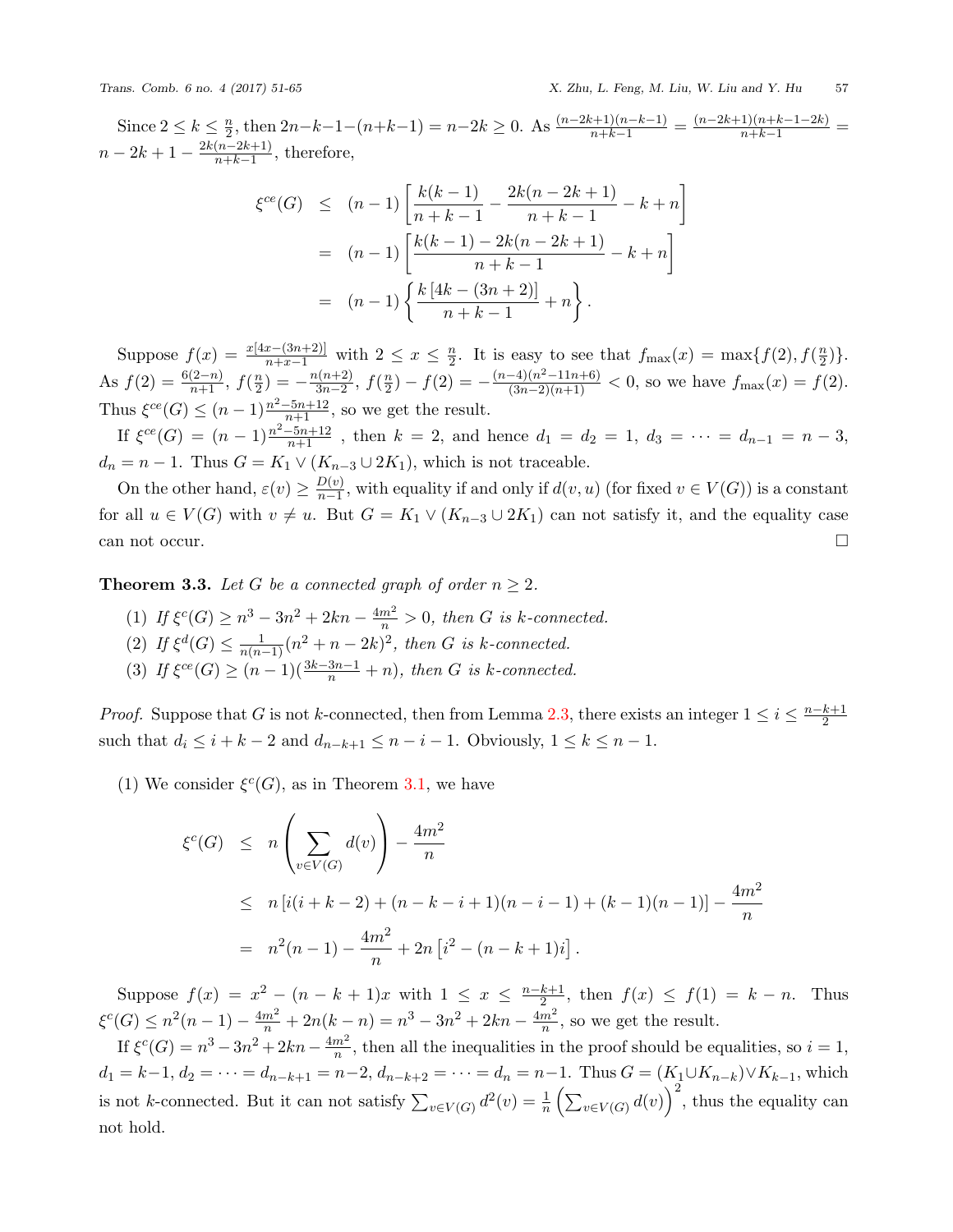Since  $2 \leq k \leq \frac{n}{2}$  $\frac{n}{2}$ , then  $2n-k-1-(n+k-1) = n-2k \ge 0$ . As  $\frac{(n-2k+1)(n-k-1)}{n+k-1} = \frac{(n-2k+1)(n+k-1-2k)}{n+k-1} =$  $n-2k+1-\frac{2k(n-2k+1)}{n+k-1}$  $\frac{(n-2\kappa+1)}{n+k-1}$ , therefore,

$$
\xi^{ce}(G) \le (n-1) \left[ \frac{k(k-1)}{n+k-1} - \frac{2k(n-2k+1)}{n+k-1} - k + n \right]
$$
  
=  $(n-1) \left[ \frac{k(k-1) - 2k(n-2k+1)}{n+k-1} - k + n \right]$   
=  $(n-1) \left\{ \frac{k[4k - (3n+2)]}{n+k-1} + n \right\}.$ 

Suppose  $f(x) = \frac{x[4x - (3n+2)]}{n+x-1}$  with  $2 \leq x \leq \frac{n}{2}$  $\frac{n}{2}$ . It is easy to see that  $f_{\text{max}}(x) = \max\{f(2), f(\frac{n}{2})\}$  $\frac{n}{2})\}$ . As  $f(2) = \frac{6(2-n)}{n+1}, f(\frac{n}{2})$  $\binom{n}{2} = -\frac{n(n+2)}{3n-2}$ 3*n−*2 , *f*( *n*  $\frac{n}{2}$ ) *−*  $f(2) = -\frac{(n-4)(n^2-11n+6)}{(3n-2)(n+1)} < 0$ , so we have  $f_{\text{max}}(x) = f(2)$ . Thus  $\xi^{ce}(G) \le (n-1) \frac{n^2 - 5n + 12}{n+1}$ , so we get the result.

If  $\xi^{ce}(G) = (n-1)\frac{n^2-5n+12}{n+1}$ , then  $k = 2$ , and hence  $d_1 = d_2 = 1$ ,  $d_3 = \cdots = d_{n-1} = n-3$ ,  $d_n = n - 1$ . Thus  $G = K_1 \vee (K_{n-3} \cup 2K_1)$ , which is not traceable.

On the other hand,  $\varepsilon(v) \geq \frac{D(v)}{n-1}$  $\frac{D(v)}{n-1}$ , with equality if and only if  $d(v, u)$  (for fixed  $v \in V(G)$ ) is a constant for all  $u \in V(G)$  with  $v \neq u$ . But  $G = K_1 \vee (K_{n-3} \cup 2K_1)$  can not satisfy it, and the equality case can not occur.  $\Box$ 

**Theorem 3.3.** Let G be a connected graph of order  $n \geq 2$ .

- (1) *If*  $\xi^{c}(G) \ge n^3 3n^2 + 2kn \frac{4m^2}{n} > 0$ , then *G* is *k*-connected.
- (2) *If*  $\xi^d(G) \le \frac{1}{n(n-1)} (n^2 + n 2k)^2$ , then *G* is *k*-connected.
- (3) *If*  $\xi^{ce}(G) \ge (n-1)(\frac{3k-3n-1}{n} + n)$ , then *G* is *k*-connected.

*Proof.* Suppose that *G* is not *k*-connected, then from Lemma [2.3,](#page-2-1) there exists an integer  $1 \leq i \leq \frac{n-k+1}{2}$ such that  $d_i \leq i + k - 2$  and  $d_{n-k+1} \leq n - i - 1$ . Obviously,  $1 \leq k \leq n - 1$ .

(1) We consider  $\xi^c(G)$ , as in Theorem [3.1,](#page-2-0) we have

$$
\xi^{c}(G) \leq n \left( \sum_{v \in V(G)} d(v) \right) - \frac{4m^{2}}{n}
$$
  
\n
$$
\leq n \left[ i(i+k-2) + (n-k-i+1)(n-i-1) + (k-1)(n-1) \right] - \frac{4m^{2}}{n}
$$
  
\n
$$
= n^{2}(n-1) - \frac{4m^{2}}{n} + 2n \left[ i^{2} - (n-k+1)i \right].
$$

Suppose  $f(x) = x^2 - (n - k + 1)x$  with  $1 \le x \le \frac{n-k+1}{2}$ , then  $f(x) \le f(1) = k - n$ . Thus  $\xi^{c}(G) \leq n^{2}(n-1) - \frac{4m^{2}}{n} + 2n(k-n) = n^{3} - 3n^{2} + 2kn - \frac{4m^{2}}{n}$  $\frac{m^2}{n}$ , so we get the result.

If  $\xi^{c}(G) = n^3 - 3n^2 + 2kn - \frac{4m^2}{n}$  $\frac{m^2}{n}$ , then all the inequalities in the proof should be equalities, so  $i = 1$ ,  $d_1 = k-1, d_2 = \cdots = d_{n-k+1} = n-2, d_{n-k+2} = \cdots = d_n = n-1$ . Thus  $G = (K_1 \cup K_{n-k}) \vee K_{k-1}$ , which is not *k*-connected. But it can not satisfy  $\sum_{v \in V(G)} d^2(v) = \frac{1}{n} \left( \sum_{v \in V(G)} d(v) \right)^2$ , thus the equality can not hold.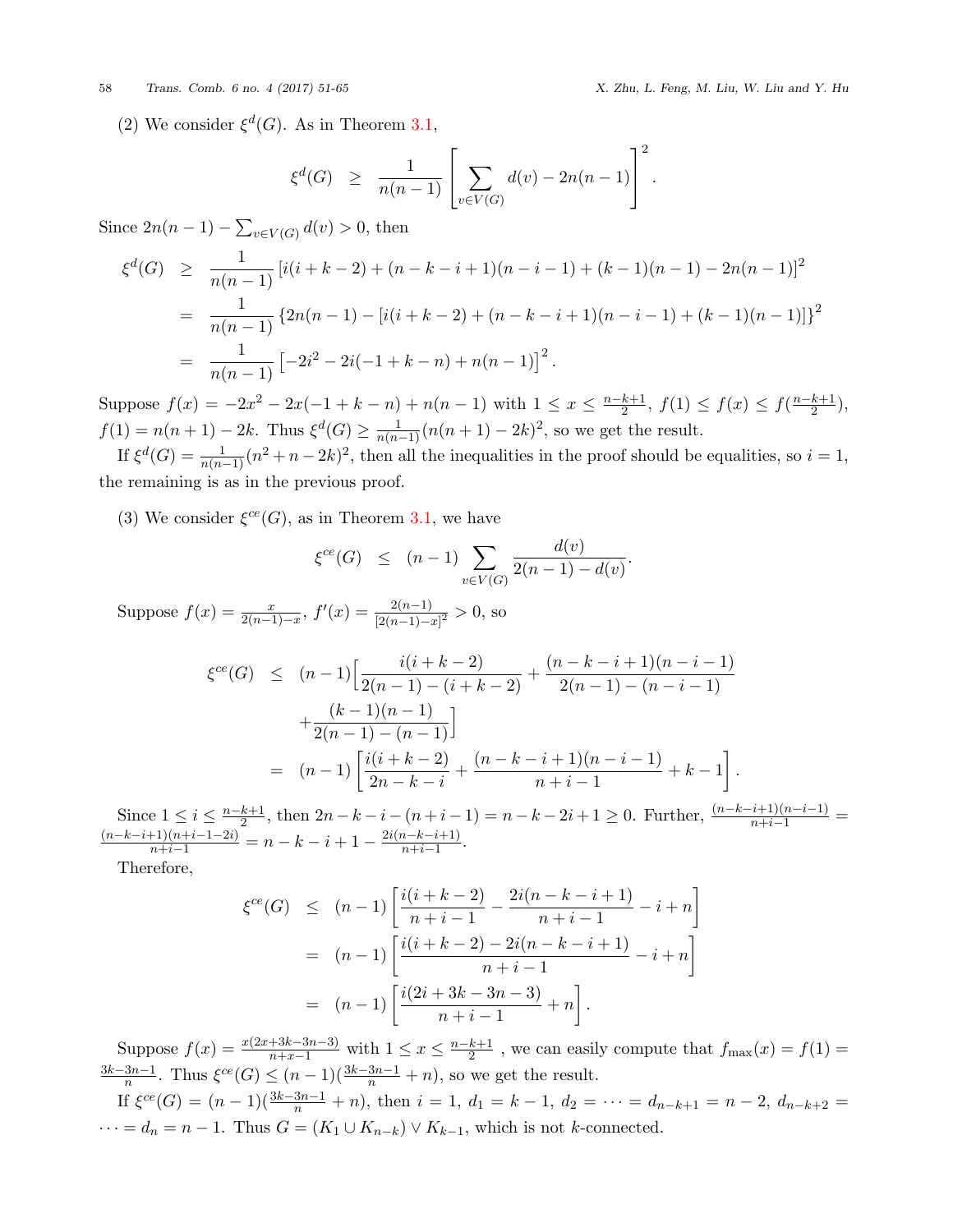## 58 *Trans. Comb. 6 no. 4 (2017) 51-65 X. Zhu, L. Feng, M. Liu, W. Liu and Y. Hu*

(2) We consider  $\xi^d(G)$ . As in Theorem [3.1](#page-2-0),

$$
\xi^d(G) \geq \frac{1}{n(n-1)} \left[ \sum_{v \in V(G)} d(v) - 2n(n-1) \right]^2.
$$

Since  $2n(n-1) - \sum_{v \in V(G)} d(v) > 0$ , then

$$
\xi^{d}(G) \geq \frac{1}{n(n-1)} \left[ i(i+k-2) + (n-k-i+1)(n-i-1) + (k-1)(n-1) - 2n(n-1) \right]^2
$$
  
= 
$$
\frac{1}{n(n-1)} \left\{ 2n(n-1) - \left[ i(i+k-2) + (n-k-i+1)(n-i-1) + (k-1)(n-1) \right] \right\}^2
$$
  
= 
$$
\frac{1}{n(n-1)} \left[ -2i^2 - 2i(-1+k-n) + n(n-1) \right]^2.
$$

Suppose  $f(x) = -2x^2 - 2x(-1 + k - n) + n(n - 1)$  with  $1 \le x \le \frac{n-k+1}{2}$ ,  $f(1) \le f(x) \le f(\frac{n-k+1}{2})$ ,  $f(1) = n(n+1) - 2k$ . Thus  $\xi^d(G) \ge \frac{1}{n(n-1)}(n(n+1) - 2k)^2$ , so we get the result.

If  $\xi^d(G) = \frac{1}{n(n-1)}(n^2 + n - 2k)^2$ , then all the inequalities in the proof should be equalities, so  $i = 1$ , the remaining is as in the previous proof.

(3) We consider  $\xi^{ce}(G)$ , as in Theorem [3.1,](#page-2-0) we have

$$
\xi^{ce}(G) \le (n-1) \sum_{v \in V(G)} \frac{d(v)}{2(n-1) - d(v)}.
$$

Suppose  $f(x) = \frac{x}{2(n-1)-x}$ ,  $f'(x) = \frac{2(n-1)}{[2(n-1)-x]^2} > 0$ , so

$$
\xi^{ce}(G) \leq (n-1) \Big[ \frac{i(i+k-2)}{2(n-1) - (i+k-2)} + \frac{(n-k-i+1)(n-i-1)}{2(n-1) - (n-i-1)} + \frac{(k-1)(n-1)}{2(n-1) - (n-1)} \Big]
$$
  
=  $(n-1) \Big[ \frac{i(i+k-2)}{2n-k-i} + \frac{(n-k-i+1)(n-i-1)}{n+i-1} + k - 1 \Big].$ 

Since  $1 \le i \le \frac{n-k+1}{2}$ , then  $2n - k - i - (n + i - 1) = n - k - 2i + 1 \ge 0$ . Further,  $\frac{(n-k-i+1)(n-i-1)}{n+i-1} = \frac{(n-k-i+1)(n+i-1-2i)}{n+i-1} = n - k - i + 1 - \frac{2i(n-k-i+1)}{n+i-1}$ .  $\frac{n-k-i+1}{n+i-1}$ .

Therefore,

$$
\xi^{ce}(G) \le (n-1) \left[ \frac{i(i+k-2)}{n+i-1} - \frac{2i(n-k-i+1)}{n+i-1} - i + n \right]
$$
  
=  $(n-1) \left[ \frac{i(i+k-2) - 2i(n-k-i+1)}{n+i-1} - i + n \right]$   
=  $(n-1) \left[ \frac{i(2i+3k-3n-3)}{n+i-1} + n \right].$ 

Suppose  $f(x) = \frac{x(2x+3k-3n-3)}{n+x-1}$  with  $1 \le x \le \frac{n-k+1}{2}$ , we can easily compute that  $f_{\text{max}}(x) = f(1) =$  $\frac{3k-3n-1}{n}$ . Thus  $\xi^{ce}(G)$  ≤ (*n* − 1)( $\frac{3k-3n-1}{n}$  + *n*), so we get the result.

If  $\xi^{ce}(G) = (n-1)(\frac{3k-3n-1}{n} + n)$ , then  $i = 1$ ,  $d_1 = k - 1$ ,  $d_2 = \cdots = d_{n-k+1} = n-2$ ,  $d_{n-k+2} =$  $\cdots = d_n = n - 1$ . Thus  $G = (K_1 \cup K_{n-k}) \vee K_{k-1}$ , which is not *k*-connected.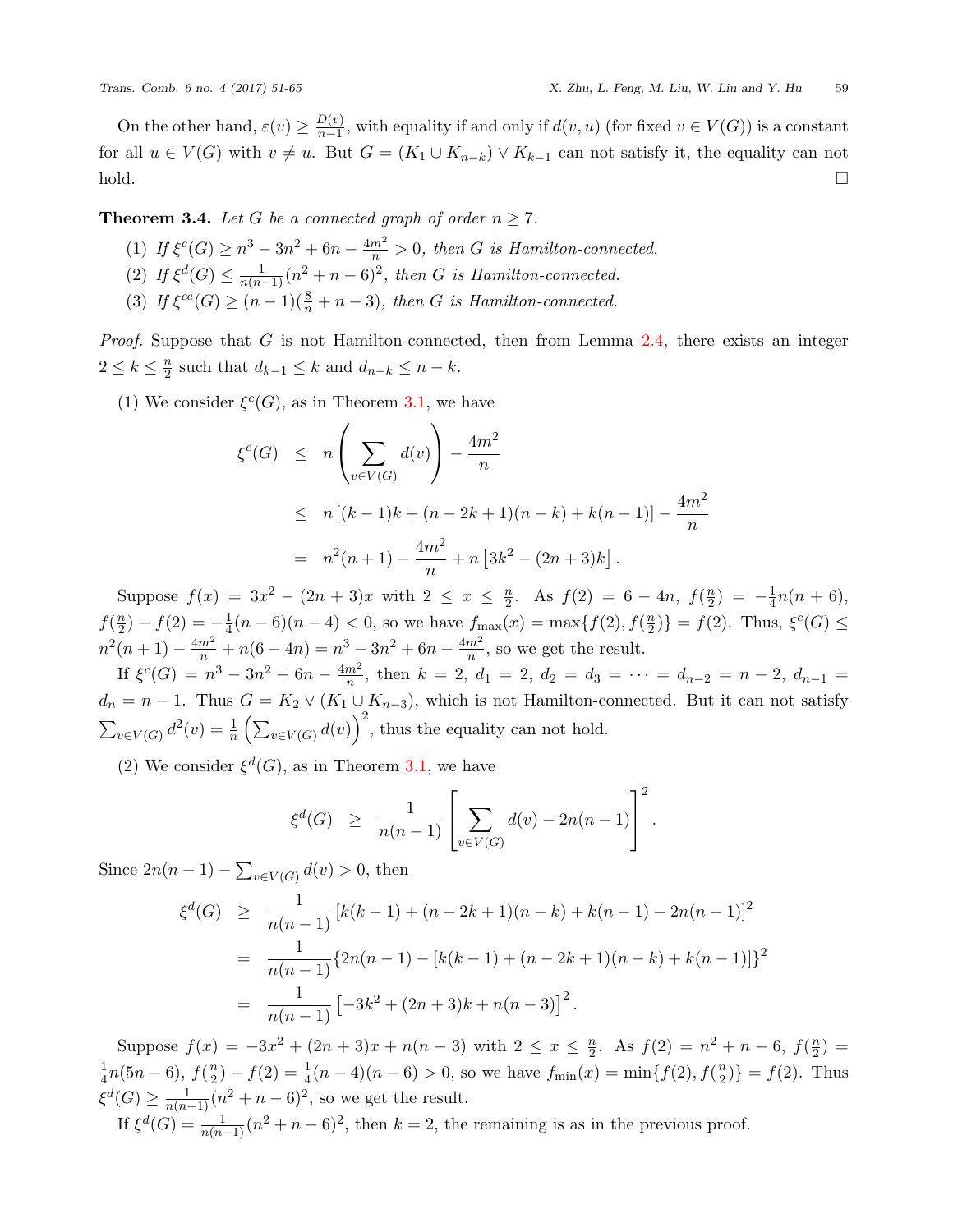On the other hand,  $\varepsilon(v) \geq \frac{D(v)}{n-1}$  $\frac{D(v)}{n-1}$ , with equality if and only if  $d(v, u)$  (for fixed  $v \in V(G)$ ) is a constant for all  $u \in V(G)$  with  $v \neq u$ . But  $G = (K_1 \cup K_{n-k}) \vee K_{k-1}$  can not satisfy it, the equality can not  $\Box$ 

**Theorem 3.4.** *Let G be a connected graph of order*  $n \geq 7$ *.* 

- (1) *If*  $\xi^{c}(G) \ge n^3 3n^2 + 6n \frac{4m^2}{n} > 0$ , then *G* is Hamilton-connected.
- (2) *If*  $\xi^d(G) \le \frac{1}{n(n-1)} (n^2 + n 6)^2$ , then *G* is Hamilton-connected.
- (3) *If*  $\xi^{ce}(G) \ge (n-1)(\frac{8}{n} + n 3)$ *, then G is Hamilton-connected.*

*Proof.* Suppose that *G* is not Hamilton-connected, then from Lemma [2.4](#page-2-2), there exists an integer  $2 \leq k \leq \frac{n}{2}$  $\frac{n}{2}$  such that  $d_{k-1} \leq k$  and  $d_{n-k} \leq n-k$ .

(1) We consider  $\xi^{c}(G)$ , as in Theorem [3.1,](#page-2-0) we have

$$
\xi^{c}(G) \leq n \left( \sum_{v \in V(G)} d(v) \right) - \frac{4m^{2}}{n}
$$
  
\n
$$
\leq n \left[ (k-1)k + (n-2k+1)(n-k) + k(n-1) \right] - \frac{4m^{2}}{n}
$$
  
\n
$$
= n^{2}(n+1) - \frac{4m^{2}}{n} + n \left[ 3k^{2} - (2n+3)k \right].
$$

Suppose  $f(x) = 3x^2 - (2n+3)x$  with  $2 \leq x \leq \frac{n}{2}$  $\frac{n}{2}$ . As  $f(2) = 6 - 4n$ ,  $f(\frac{n}{2})$  $\frac{n}{2}$ ) =  $-\frac{1}{4}$  $\frac{1}{4}n(n+6),$  $f(\frac{n}{2})$  $\frac{n}{2}$ ) *−*  $f(2) = -\frac{1}{4}$  $\frac{1}{4}(n-6)(n-4) < 0$ , so we have  $f_{\text{max}}(x) = \max\{f(2), f(\frac{n}{2})\}$  $\{(\frac{n}{2})\} = f(2)$ . Thus,  $\xi^c(G) \le$  $n^2(n+1) - \frac{4m^2}{n} + n(6-4n) = n^3 - 3n^2 + 6n - \frac{4m^2}{n}$  $\frac{m^2}{n}$ , so we get the result.

If  $\xi^c(G) = n^3 - 3n^2 + 6n - \frac{4m^2}{n}$  $\frac{m^2}{n}$ , then  $k = 2$ ,  $d_1 = 2$ ,  $d_2 = d_3 = \cdots = d_{n-2} = n-2$ ,  $d_{n-1} =$  $d_n = n - 1$ . Thus  $G = K_2 \vee (K_1 \cup K_{n-3})$ , which is not Hamilton-connected. But it can not satisfy  $\sum_{v \in V(G)} d^2(v) = \frac{1}{n} \left( \sum_{v \in V(G)} d(v) \right)^2$ , thus the equality can not hold.

(2) We consider  $\xi^d(G)$ , as in Theorem [3.1](#page-2-0), we have

$$
\xi^d(G) \ge \frac{1}{n(n-1)} \left[ \sum_{v \in V(G)} d(v) - 2n(n-1) \right]^2.
$$

Since  $2n(n-1) - \sum_{v \in V(G)} d(v) > 0$ , then

$$
\xi^{d}(G) \geq \frac{1}{n(n-1)} \left[ k(k-1) + (n-2k+1)(n-k) + k(n-1) - 2n(n-1) \right]^2
$$
  
= 
$$
\frac{1}{n(n-1)} \{ 2n(n-1) - [k(k-1) + (n-2k+1)(n-k) + k(n-1)] \}^2
$$
  
= 
$$
\frac{1}{n(n-1)} \left[ -3k^2 + (2n+3)k + n(n-3) \right]^2.
$$

Suppose  $f(x) = -3x^2 + (2n+3)x + n(n-3)$  with  $2 \leq x \leq \frac{n}{2}$  $\frac{n}{2}$ . As  $f(2) = n^2 + n - 6$ ,  $f(\frac{n}{2})$  $\frac{n}{2}) =$ 1  $\frac{1}{4}n(5n-6), f(\frac{n}{2})$  $\frac{n}{2}$ ) *−*  $f(2) = \frac{1}{4}(n-4)(n-6) > 0$ , so we have  $f_{\min}(x) = \min\{f(2), f(\frac{n}{2})\}$  $\binom{n}{2}$ } =  $f(2)$ . Thus  $\xi^d(G) \ge \frac{1}{n(n-1)} (n^2 + n - 6)^2$ , so we get the result.

If  $\xi^d(G) = \frac{1}{n(n-1)}(n^2 + n - 6)^2$ , then  $k = 2$ , the remaining is as in the previous proof.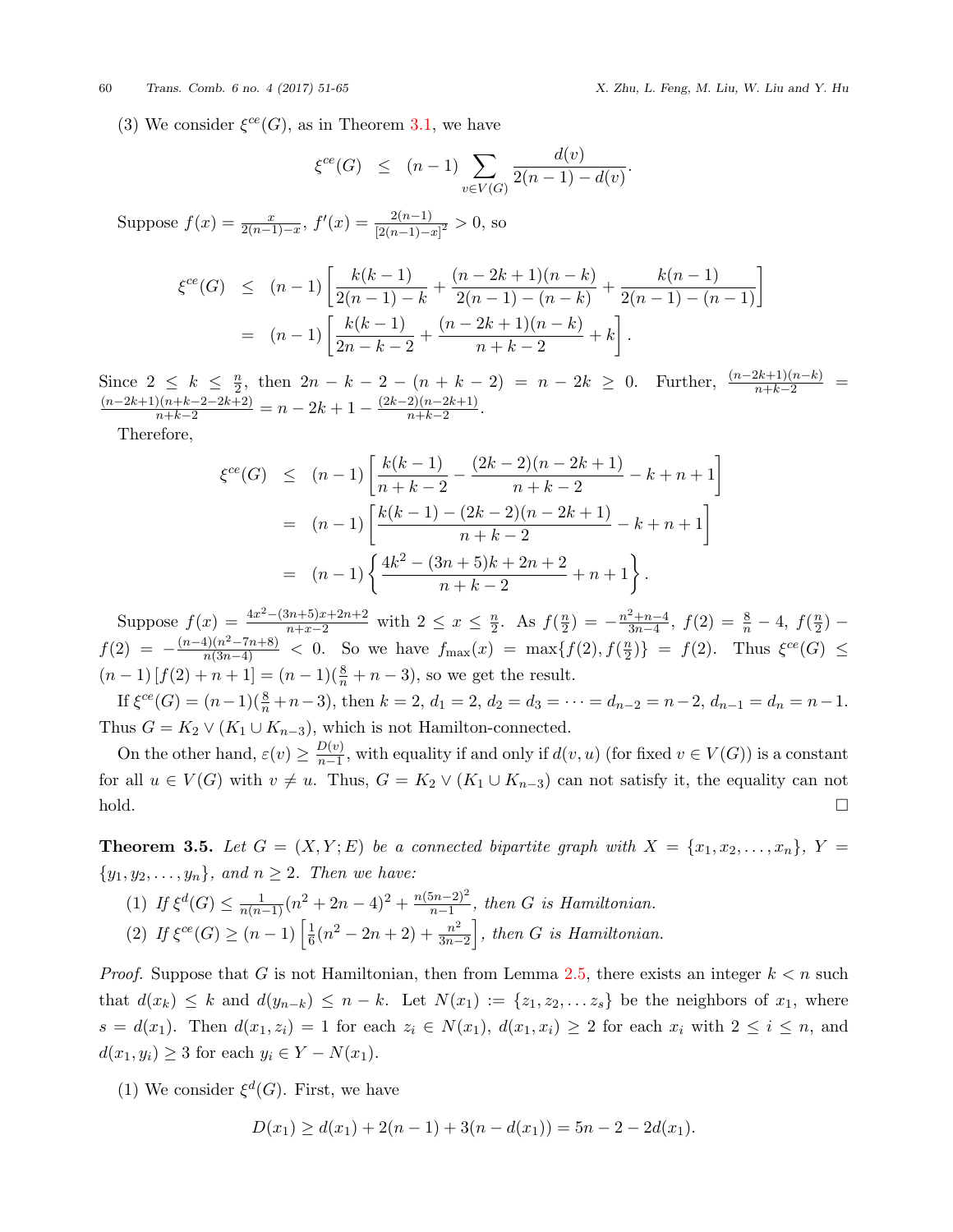(3) We consider  $\xi^{ce}(G)$ , as in Theorem [3.1,](#page-2-0) we have

$$
\xi^{ce}(G) \le (n-1) \sum_{v \in V(G)} \frac{d(v)}{2(n-1) - d(v)}.
$$

Suppose  $f(x) = \frac{x}{2(n-1)-x}$ ,  $f'(x) = \frac{2(n-1)}{[2(n-1)-x]^2} > 0$ , so

$$
\xi^{ce}(G) \le (n-1) \left[ \frac{k(k-1)}{2(n-1)-k} + \frac{(n-2k+1)(n-k)}{2(n-1)-(n-k)} + \frac{k(n-1)}{2(n-1)-(n-1)} \right]
$$
  
=  $(n-1) \left[ \frac{k(k-1)}{2n-k-2} + \frac{(n-2k+1)(n-k)}{n+k-2} + k \right].$ 

Since  $2 \leq k \leq \frac{n}{2}$ Since  $2 \le k \le \frac{n}{2}$ , then  $2n - k - 2 - (n + k - 2) = n - 2k \ge 0$ . Further,  $\frac{(n-2k+1)(n-k)}{n+k-2} = \frac{(n-2k+1)(n+k-2-2k+2)}{n+k-2} = n - 2k + 1 - \frac{(2k-2)(n-2k+1)}{n+k-2}$ .  $\frac{z}{n+k-2}$ .

Therefore,

$$
\xi^{ce}(G) \le (n-1) \left[ \frac{k(k-1)}{n+k-2} - \frac{(2k-2)(n-2k+1)}{n+k-2} - k + n + 1 \right]
$$
  
=  $(n-1) \left[ \frac{k(k-1) - (2k-2)(n-2k+1)}{n+k-2} - k + n + 1 \right]$   
=  $(n-1) \left\{ \frac{4k^2 - (3n+5)k + 2n + 2}{n+k-2} + n + 1 \right\}.$ 

Suppose  $f(x) = \frac{4x^2 - (3n+5)x + 2n+2}{n+x-2}$  with  $2 \leq x \leq \frac{n}{2}$  $\frac{n}{2}$ . As  $f(\frac{n}{2})$  $\frac{n}{2}$ ) =  $-\frac{n^2+n-4}{3n-4}$  $\frac{3n-4}{3n-4}$ ,  $f(2) = \frac{8}{n} - 4$ ,  $f(\frac{n}{2})$ 2 ) *−*  $f(2) = -\frac{(n-4)(n^2 - 7n + 8)}{n(3n-4)}$  < 0. So we have  $f_{\text{max}}(x) = \max\{f(2), f(\frac{n}{2})\}$  $\{f(2). \text{ Thus } \xi^{ce}(G) \leq$  $(n-1) [f(2) + n + 1] = (n-1)(\frac{8}{n} + n - 3)$ , so we get the result.

If  $\xi^{ce}(G) = (n-1)(\frac{8}{n} + n-3)$ , then  $k = 2$ ,  $d_1 = 2$ ,  $d_2 = d_3 = \cdots = d_{n-2} = n-2$ ,  $d_{n-1} = d_n = n-1$ . Thus  $G = K_2 \vee (K_1 \cup K_{n-3})$ , which is not Hamilton-connected.

On the other hand,  $\varepsilon(v) \geq \frac{D(v)}{n-1}$  $\frac{D(v)}{n-1}$ , with equality if and only if  $d(v, u)$  (for fixed  $v \in V(G)$ ) is a constant for all  $u \in V(G)$  with  $v \neq u$ . Thus,  $G = K_2 \vee (K_1 \cup K_{n-3})$  can not satisfy it, the equality can not  $\Box$ 

**Theorem 3.5.** Let  $G = (X, Y; E)$  be a connected bipartite graph with  $X = \{x_1, x_2, \ldots, x_n\}$ ,  $Y =$  $\{y_1, y_2, \ldots, y_n\}$ *, and*  $n \geq 2$ *. Then we have:* 

 $(1)$  *If*  $\xi^d(G) \leq \frac{1}{n(n-1)} (n^2 + 2n - 4)^2 + \frac{n(5n-2)^2}{n-1}$  $\frac{5n-2)^2}{n-1}$ , then *G is Hamiltonian.*  $(2)$  *If*  $\xi^{ce}(G) \geq (n-1) \left[ \frac{1}{6} \right]$  $\frac{1}{6}(n^2-2n+2)+\frac{n^2}{3n-2}$  $\left\{\frac{n^2}{3n-2}\right\}$ , then *G* is Hamiltonian.

*Proof.* Suppose that *G* is not Hamiltonian, then from Lemma [2.5,](#page-2-3) there exists an integer  $k < n$  such that  $d(x_k) \leq k$  and  $d(y_{n-k}) \leq n-k$ . Let  $N(x_1) := \{z_1, z_2, \ldots z_s\}$  be the neighbors of  $x_1$ , where  $s = d(x_1)$ . Then  $d(x_1, z_i) = 1$  for each  $z_i \in N(x_1)$ ,  $d(x_1, x_i) \geq 2$  for each  $x_i$  with  $2 \leq i \leq n$ , and *d*(*x*<sub>1</sub>*, y<sub>i</sub>*) ≥ 3 for each *y<sub>i</sub>*  $\in$  *Y − N*(*x*<sub>1</sub>).

(1) We consider  $\xi^d(G)$ . First, we have

$$
D(x_1) \ge d(x_1) + 2(n-1) + 3(n - d(x_1)) = 5n - 2 - 2d(x_1).
$$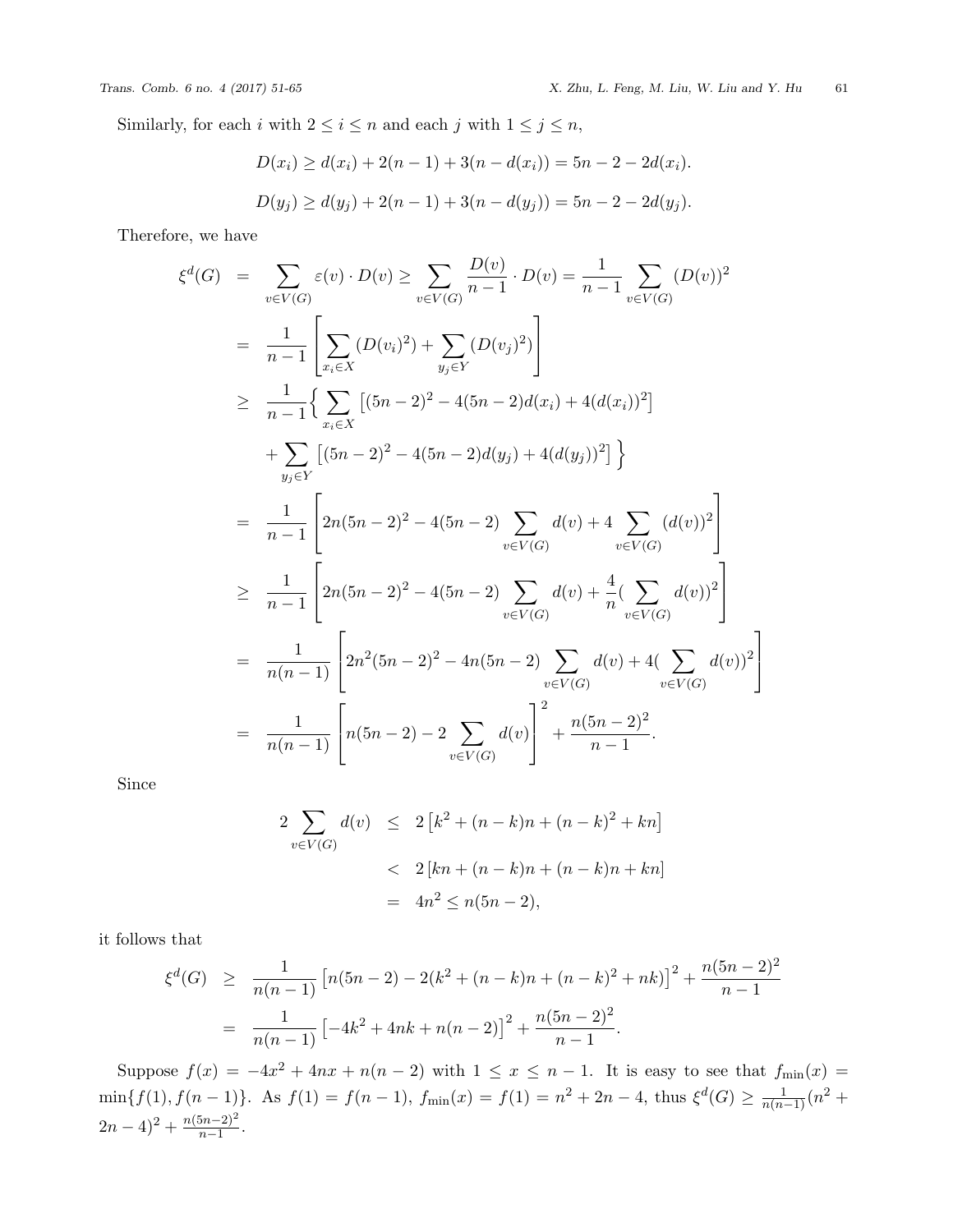Similarly, for each *i* with  $2 \leq i \leq n$  and each *j* with  $1 \leq j \leq n$ ,

$$
D(x_i) \ge d(x_i) + 2(n-1) + 3(n - d(x_i)) = 5n - 2 - 2d(x_i).
$$
  

$$
D(y_j) \ge d(y_j) + 2(n-1) + 3(n - d(y_j)) = 5n - 2 - 2d(y_j).
$$

Therefore, we have

$$
\xi^{d}(G) = \sum_{v \in V(G)} \varepsilon(v) \cdot D(v) \ge \sum_{v \in V(G)} \frac{D(v)}{n-1} \cdot D(v) = \frac{1}{n-1} \sum_{v \in V(G)} (D(v))^2
$$
  
\n
$$
= \frac{1}{n-1} \left[ \sum_{x_i \in X} (D(v_i)^2) + \sum_{y_j \in Y} (D(v_j)^2) \right]
$$
  
\n
$$
\ge \frac{1}{n-1} \left\{ \sum_{x_i \in X} \left[ (5n-2)^2 - 4(5n-2)d(x_i) + 4(d(x_i))^2 \right] + \sum_{y_j \in Y} \left[ (5n-2)^2 - 4(5n-2)d(y_j) + 4(d(y_j))^2 \right] \right\}
$$
  
\n
$$
= \frac{1}{n-1} \left[ 2n(5n-2)^2 - 4(5n-2) \sum_{v \in V(G)} d(v) + 4 \sum_{v \in V(G)} (d(v))^2 \right]
$$
  
\n
$$
\ge \frac{1}{n-1} \left[ 2n(5n-2)^2 - 4(5n-2) \sum_{v \in V(G)} d(v) + \frac{4}{n} (\sum_{v \in V(G)} d(v))^2 \right]
$$
  
\n
$$
= \frac{1}{n(n-1)} \left[ 2n^2(5n-2)^2 - 4n(5n-2) \sum_{v \in V(G)} d(v) + 4(\sum_{v \in V(G)} d(v))^2 \right]
$$
  
\n
$$
= \frac{1}{n(n-1)} \left[ n(5n-2) - 2 \sum_{v \in V(G)} d(v) \right]^2 + \frac{n(5n-2)^2}{n-1}.
$$

Since

$$
2\sum_{v \in V(G)} d(v) \le 2 [k^2 + (n - k)n + (n - k)^2 + kn]
$$
  
< 
$$
< 2 [kn + (n - k)n + (n - k)n + kn]
$$
  

$$
= 4n^2 \le n(5n - 2),
$$

it follows that

$$
\xi^{d}(G) \geq \frac{1}{n(n-1)} \left[ n(5n-2) - 2(k^2 + (n-k)n + (n-k)^2 + nk) \right]^2 + \frac{n(5n-2)^2}{n-1}
$$

$$
= \frac{1}{n(n-1)} \left[ -4k^2 + 4nk + n(n-2) \right]^2 + \frac{n(5n-2)^2}{n-1}.
$$

Suppose  $f(x) = -4x^2 + 4nx + n(n-2)$  with  $1 \le x \le n-1$ . It is easy to see that  $f_{\min}(x) =$  $\min\{f(1), f(n-1)\}\$ . As  $f(1) = f(n-1)$ ,  $f_{\min}(x) = f(1) = n^2 + 2n - 4$ , thus  $\xi^d(G) \ge \frac{1}{n(n-1)}(n^2 +$  $(2n-4)^2 + \frac{n(5n-2)^2}{n-1}$  $\frac{(2n-2)^2}{n-1}$ .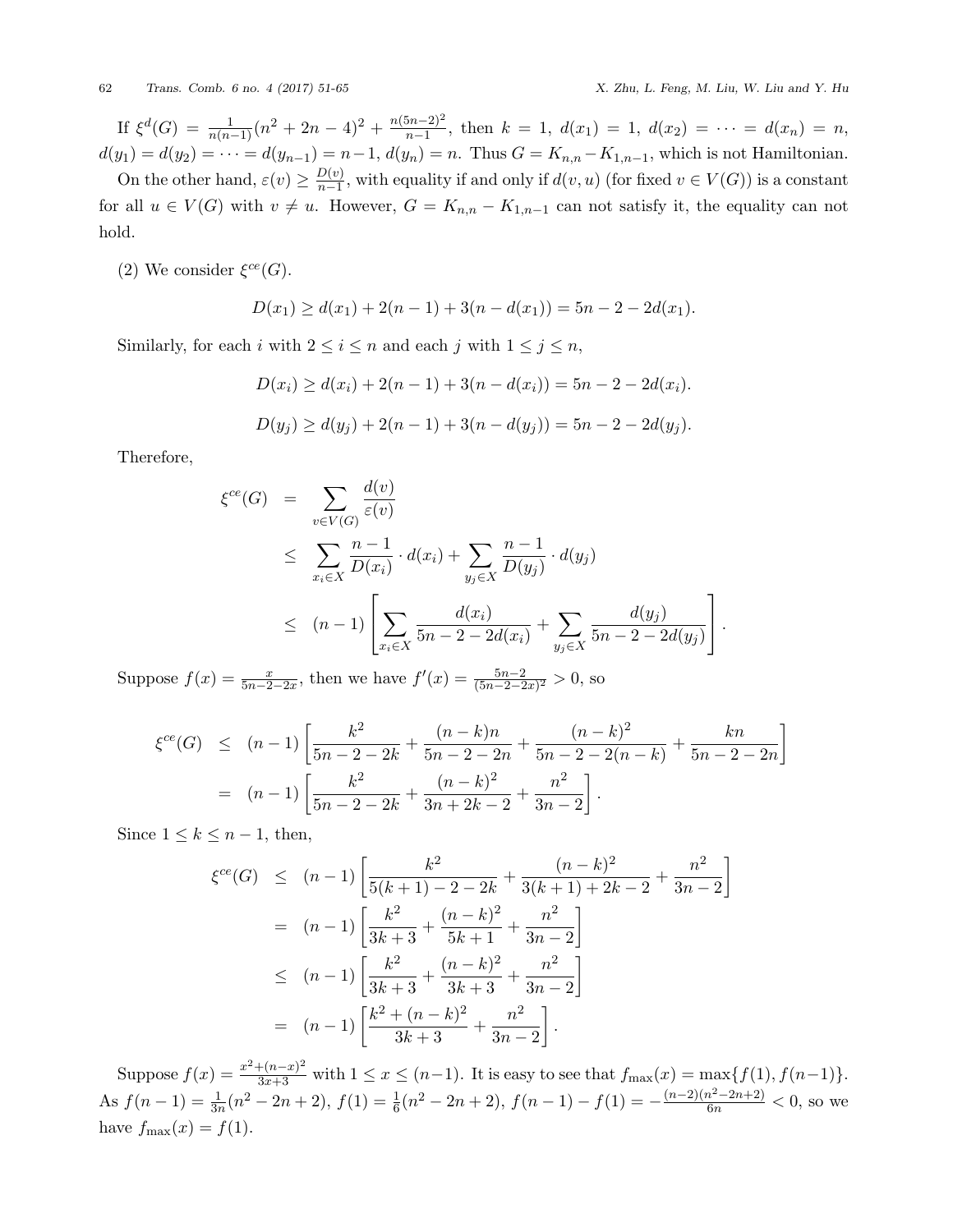If  $\xi^d(G) = \frac{1}{n(n-1)} (n^2 + 2n - 4)^2 + \frac{n(5n-2)^2}{n-1}$  $\frac{m-2}{n-1}$ , then  $k = 1$ ,  $d(x_1) = 1$ ,  $d(x_2) = \cdots = d(x_n) = n$ ,  $d(y_1) = d(y_2) = \cdots = d(y_{n-1}) = n-1, d(y_n) = n.$  Thus  $G = K_{n,n} - K_{1,n-1}$ , which is not Hamiltonian.

On the other hand,  $\varepsilon(v) \geq \frac{D(v)}{n-1}$  $\frac{D(v)}{n-1}$ , with equality if and only if  $d(v, u)$  (for fixed  $v \in V(G)$ ) is a constant for all  $u \in V(G)$  with  $v \neq u$ . However,  $G = K_{n,n} - K_{1,n-1}$  can not satisfy it, the equality can not hold.

(2) We consider  $\xi^{ce}(G)$ .

$$
D(x_1) \ge d(x_1) + 2(n-1) + 3(n - d(x_1)) = 5n - 2 - 2d(x_1).
$$

Similarly, for each *i* with  $2 \le i \le n$  and each *j* with  $1 \le j \le n$ ,

$$
D(x_i) \ge d(x_i) + 2(n-1) + 3(n - d(x_i)) = 5n - 2 - 2d(x_i).
$$
  

$$
D(y_j) \ge d(y_j) + 2(n-1) + 3(n - d(y_j)) = 5n - 2 - 2d(y_j).
$$

Therefore,

$$
\xi^{ce}(G) = \sum_{v \in V(G)} \frac{d(v)}{\varepsilon(v)} \n\leq \sum_{x_i \in X} \frac{n-1}{D(x_i)} \cdot d(x_i) + \sum_{y_j \in X} \frac{n-1}{D(y_j)} \cdot d(y_j) \n\leq (n-1) \left[ \sum_{x_i \in X} \frac{d(x_i)}{5n - 2 - 2d(x_i)} + \sum_{y_j \in X} \frac{d(y_j)}{5n - 2 - 2d(y_j)} \right].
$$

Suppose  $f(x) = \frac{x}{5n-2-2x}$ , then we have  $f'(x) = \frac{5n-2}{(5n-2-2x)^2} > 0$ , so

$$
\xi^{ce}(G) \le (n-1) \left[ \frac{k^2}{5n-2-2k} + \frac{(n-k)n}{5n-2-2n} + \frac{(n-k)^2}{5n-2-2(n-k)} + \frac{kn}{5n-2-2n} \right]
$$
  
=  $(n-1) \left[ \frac{k^2}{5n-2-2k} + \frac{(n-k)^2}{3n+2k-2} + \frac{n^2}{3n-2} \right].$ 

Since  $1 \leq k \leq n-1$ , then,

$$
\xi^{ce}(G) \le (n-1) \left[ \frac{k^2}{5(k+1) - 2 - 2k} + \frac{(n-k)^2}{3(k+1) + 2k - 2} + \frac{n^2}{3n - 2} \right]
$$
  
=  $(n-1) \left[ \frac{k^2}{3k+3} + \frac{(n-k)^2}{5k+1} + \frac{n^2}{3n - 2} \right]$   
 $\le (n-1) \left[ \frac{k^2}{3k+3} + \frac{(n-k)^2}{3k+3} + \frac{n^2}{3n - 2} \right]$   
=  $(n-1) \left[ \frac{k^2 + (n-k)^2}{3k+3} + \frac{n^2}{3n - 2} \right].$ 

Suppose  $f(x) = \frac{x^2 + (n-x)^2}{3x+3}$  with  $1 \le x \le (n-1)$ . It is easy to see that  $f_{\max}(x) = \max\{f(1), f(n-1)\}.$ As  $f(n-1) = \frac{1}{3n}(n^2 - 2n + 2)$ ,  $f(1) = \frac{1}{6}(n^2 - 2n + 2)$ ,  $f(n-1) - f(1) = -\frac{(n-2)(n^2 - 2n + 2)}{6n} < 0$ , so we have  $f_{\text{max}}(x) = f(1)$ .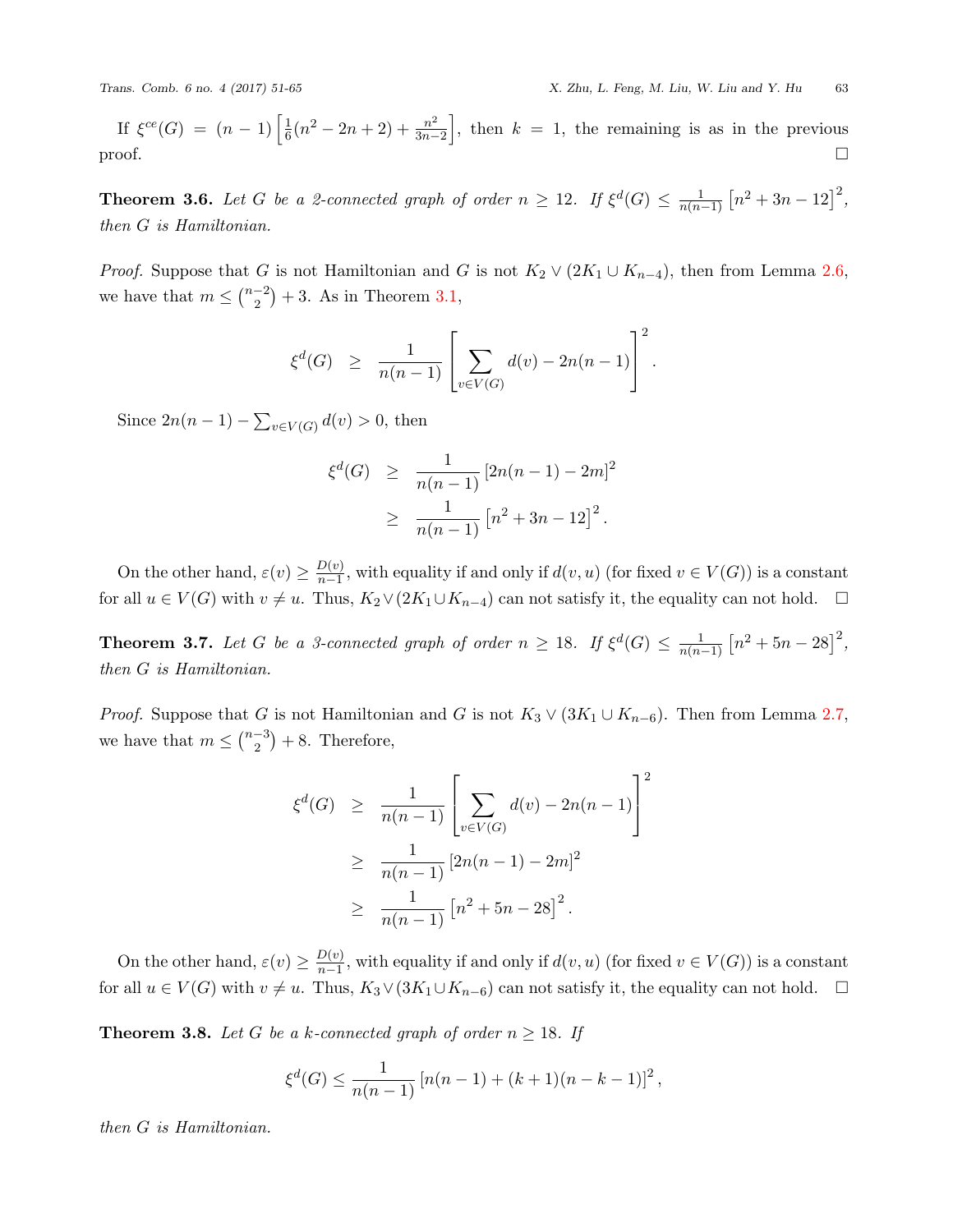If  $\xi^{ce}(G) = (n-1) \left[ \frac{1}{6} \right]$  $\frac{1}{6}(n^2-2n+2)+\frac{n^2}{3n-2}$  $\left(\frac{n^2}{3n-2}\right]$ , then  $k = 1$ , the remaining is as in the previous proof.  $\Box$ 

**Theorem 3.6.** *Let G be a 2-connected graph of order*  $n \geq 12$ *. If*  $\xi^d(G) \leq \frac{1}{n(n)}$  $\frac{1}{n(n-1)}$   $[n^2 + 3n - 12]^2$ , *then G is Hamiltonian.*

*Proof.* Suppose that *G* is not Hamiltonian and *G* is not  $K_2 \vee (2K_1 \cup K_{n-4})$ , then from Lemma [2.6](#page-2-4), we have that  $m \leq {n-2 \choose 2}$  $\binom{-2}{2} + 3$ . As in Theorem [3.1,](#page-2-0)

$$
\xi^d(G) \geq \frac{1}{n(n-1)} \left[ \sum_{v \in V(G)} d(v) - 2n(n-1) \right]^2.
$$

Since  $2n(n-1) - \sum_{v \in V(G)} d(v) > 0$ , then

$$
\xi^{d}(G) \geq \frac{1}{n(n-1)} [2n(n-1) - 2m]^2
$$
  
 
$$
\geq \frac{1}{n(n-1)} [n^2 + 3n - 12]^2.
$$

On the other hand,  $\varepsilon(v) \geq \frac{D(v)}{n-1}$  $\frac{D(v)}{n-1}$ , with equality if and only if  $d(v, u)$  (for fixed  $v \in V(G)$ ) is a constant for all  $u \in V(G)$  with  $v \neq u$ . Thus,  $K_2 \vee (2K_1 \cup K_{n-4})$  can not satisfy it, the equality can not hold.  $\Box$ 

**Theorem 3.7.** *Let G be a 3-connected graph of order*  $n \geq 18$ *. If*  $\xi^d(G) \leq \frac{1}{n(n+1)}$  $\frac{1}{n(n-1)}$   $[n^2 + 5n - 28]^2$ , *then G is Hamiltonian.*

*Proof.* Suppose that *G* is not Hamiltonian and *G* is not  $K_3 \vee (3K_1 \cup K_{n-6})$ . Then from Lemma [2.7](#page-2-5), we have that  $m \leq {n-3 \choose 2}$  $\binom{-3}{2}+8$ . Therefore,

$$
\xi^{d}(G) \geq \frac{1}{n(n-1)} \left[ \sum_{v \in V(G)} d(v) - 2n(n-1) \right]^2
$$
  
 
$$
\geq \frac{1}{n(n-1)} [2n(n-1) - 2m]^2
$$
  
 
$$
\geq \frac{1}{n(n-1)} [n^2 + 5n - 28]^2.
$$

On the other hand,  $\varepsilon(v) \geq \frac{D(v)}{n-1}$  $\frac{D(v)}{n-1}$ , with equality if and only if  $d(v, u)$  (for fixed  $v \in V(G)$ ) is a constant for all  $u \in V(G)$  with  $v \neq u$ . Thus,  $K_3 \vee (3K_1 \cup K_{n-6})$  can not satisfy it, the equality can not hold.  $\Box$ 

**Theorem 3.8.** Let G be a k-connected graph of order  $n \geq 18$ . If

$$
\xi^d(G) \le \frac{1}{n(n-1)} \left[ n(n-1) + (k+1)(n-k-1) \right]^2,
$$

*then G is Hamiltonian.*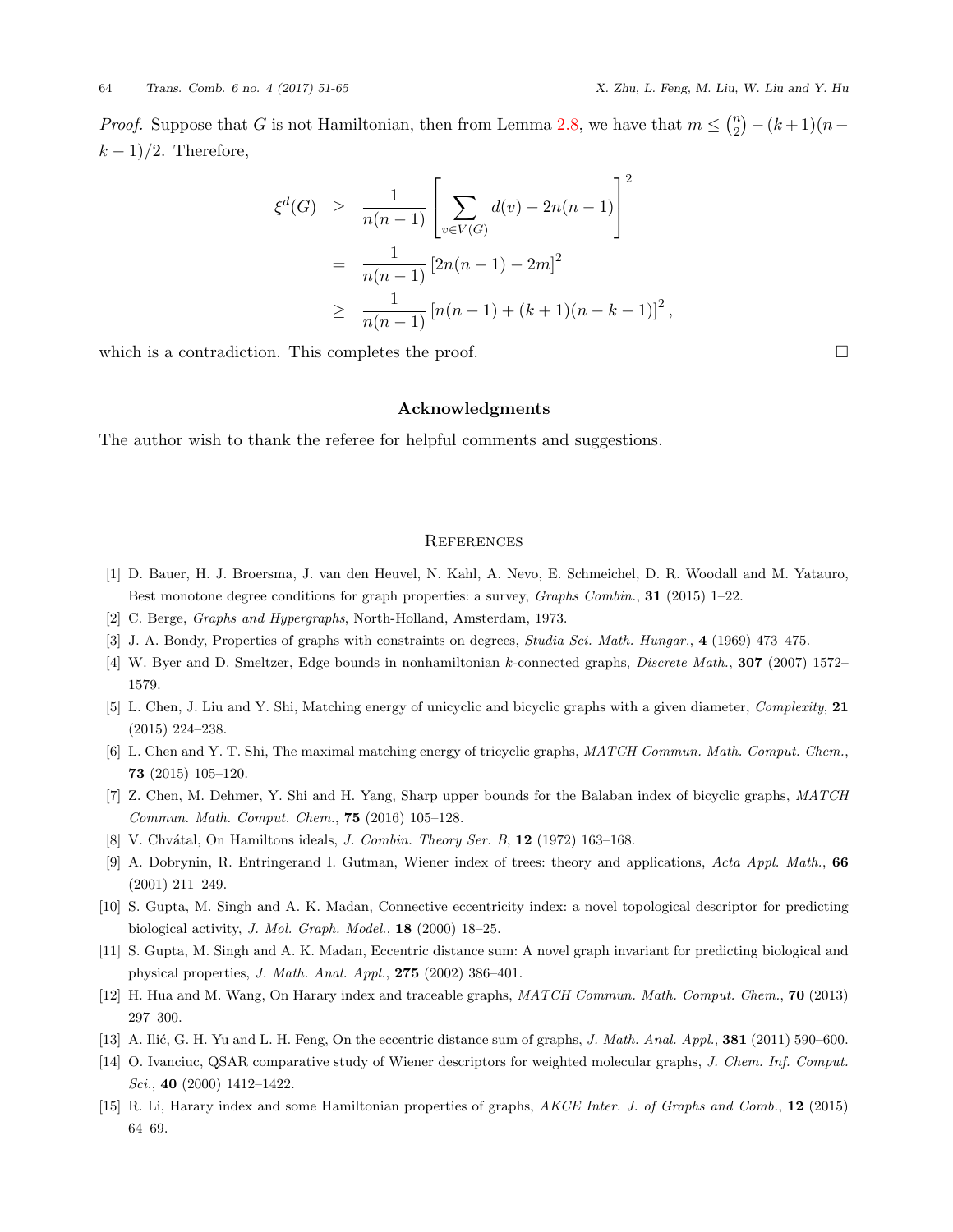*Proof.* Suppose that *G* is not Hamiltonian, then from Lemma [2.8,](#page-2-6) we have that  $m \leq \binom{n}{2}$ 2 ) *−*(*k* + 1)(*n− k −* 1)*/*2. Therefore,

$$
\xi^{d}(G) \geq \frac{1}{n(n-1)} \left[ \sum_{v \in V(G)} d(v) - 2n(n-1) \right]^2
$$
  
= 
$$
\frac{1}{n(n-1)} [2n(n-1) - 2m]^2
$$
  

$$
\geq \frac{1}{n(n-1)} [n(n-1) + (k+1)(n-k-1)]^2,
$$

which is a contradiction. This completes the proof.  $\Box$ 

# **Acknowledgments**

The author wish to thank the referee for helpful comments and suggestions.

### **REFERENCES**

- <span id="page-13-11"></span>[1] D. Bauer, H. J. Broersma, J. van den Heuvel, N. Kahl, A. Nevo, E. Schmeichel, D. R. Woodall and M. Yatauro, Best monotone degree conditions for graph properties: a survey, *Graphs Combin.*, **31** (2015) 1–22.
- <span id="page-13-13"></span>[2] C. Berge, *Graphs and Hypergraphs*, North-Holland, Amsterdam, 1973.
- <span id="page-13-12"></span>[3] J. A. Bondy, Properties of graphs with constraints on degrees, *Studia Sci. Math. Hungar.*, **4** (1969) 473–475.
- <span id="page-13-14"></span>[4] W. Byer and D. Smeltzer, Edge bounds in nonhamiltonian *k*-connected graphs, *Discrete Math.*, **307** (2007) 1572– 1579.
- <span id="page-13-1"></span>[5] L. Chen, J. Liu and Y. Shi, Matching energy of unicyclic and bicyclic graphs with a given diameter, *Complexity*, **21** (2015) 224–238.
- <span id="page-13-2"></span>[6] L. Chen and Y. T. Shi, The maximal matching energy of tricyclic graphs, *MATCH Commun. Math. Comput. Chem.*, **73** (2015) 105–120.
- <span id="page-13-3"></span>[7] Z. Chen, M. Dehmer, Y. Shi and H. Yang, Sharp upper bounds for the Balaban index of bicyclic graphs, *MATCH Commun. Math. Comput. Chem.*, **75** (2016) 105–128.
- <span id="page-13-10"></span>[8] V. Chv´atal, On Hamiltons ideals, *J. Combin. Theory Ser. B*, **12** (1972) 163–168.
- <span id="page-13-4"></span>[9] A. Dobrynin, R. Entringerand I. Gutman, Wiener index of trees: theory and applications, *Acta Appl. Math.*, **66** (2001) 211–249.
- <span id="page-13-6"></span>[10] S. Gupta, M. Singh and A. K. Madan, Connective eccentricity index: a novel topological descriptor for predicting biological activity, *J. Mol. Graph. Model.*, **18** (2000) 18–25.
- <span id="page-13-5"></span>[11] S. Gupta, M. Singh and A. K. Madan, Eccentric distance sum: A novel graph invariant for predicting biological and physical properties, *J. Math. Anal. Appl.*, **275** (2002) 386–401.
- <span id="page-13-8"></span>[12] H. Hua and M. Wang, On Harary index and traceable graphs, *MATCH Commun. Math. Comput. Chem.*, **70** (2013) 297–300.
- <span id="page-13-7"></span>[13] A. Ili´c, G. H. Yu and L. H. Feng, On the eccentric distance sum of graphs, *J. Math. Anal. Appl.*, **381** (2011) 590–600.
- <span id="page-13-0"></span>[14] O. Ivanciuc, QSAR comparative study of Wiener descriptors for weighted molecular graphs, *J. Chem. Inf. Comput. Sci.*, **40** (2000) 1412–1422.
- <span id="page-13-9"></span>[15] R. Li, Harary index and some Hamiltonian properties of graphs, *AKCE Inter. J. of Graphs and Comb.*, **12** (2015) 64–69.